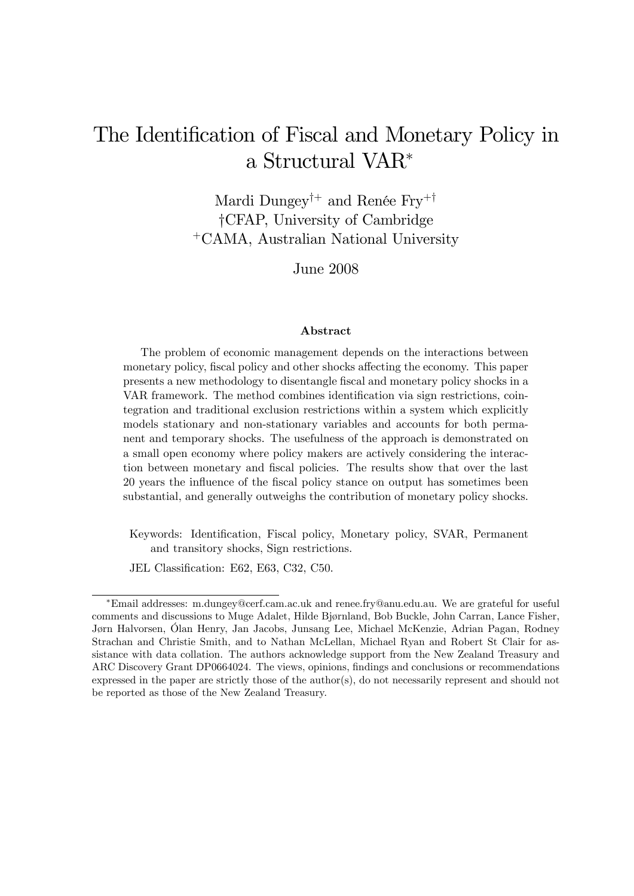# The Identification of Fiscal and Monetary Policy in a Structural VAR

Mardi Dungey<sup>†+</sup> and Renée Fry<sup>+†</sup> yCFAP, University of Cambridge <sup>+</sup>CAMA, Australian National University

June 2008

#### Abstract

The problem of economic management depends on the interactions between monetary policy, fiscal policy and other shocks affecting the economy. This paper presents a new methodology to disentangle Öscal and monetary policy shocks in a VAR framework. The method combines identification via sign restrictions, cointegration and traditional exclusion restrictions within a system which explicitly models stationary and non-stationary variables and accounts for both permanent and temporary shocks. The usefulness of the approach is demonstrated on a small open economy where policy makers are actively considering the interaction between monetary and Öscal policies. The results show that over the last 20 years the influence of the fiscal policy stance on output has sometimes been substantial, and generally outweighs the contribution of monetary policy shocks.

Keywords: Identification, Fiscal policy, Monetary policy, SVAR, Permanent and transitory shocks, Sign restrictions.

JEL Classification: E62, E63, C32, C50.

Email addresses: m.dungey@cerf.cam.ac.uk and renee.fry@anu.edu.au. We are grateful for useful comments and discussions to Muge Adalet, Hilde Bjørnland, Bob Buckle, John Carran, Lance Fisher, Jørn Halvorsen, Ölan Henry, Jan Jacobs, Junsang Lee, Michael McKenzie, Adrian Pagan, Rodney Strachan and Christie Smith, and to Nathan McLellan, Michael Ryan and Robert St Clair for assistance with data collation. The authors acknowledge support from the New Zealand Treasury and ARC Discovery Grant DP0664024. The views, opinions, findings and conclusions or recommendations expressed in the paper are strictly those of the author(s), do not necessarily represent and should not be reported as those of the New Zealand Treasury.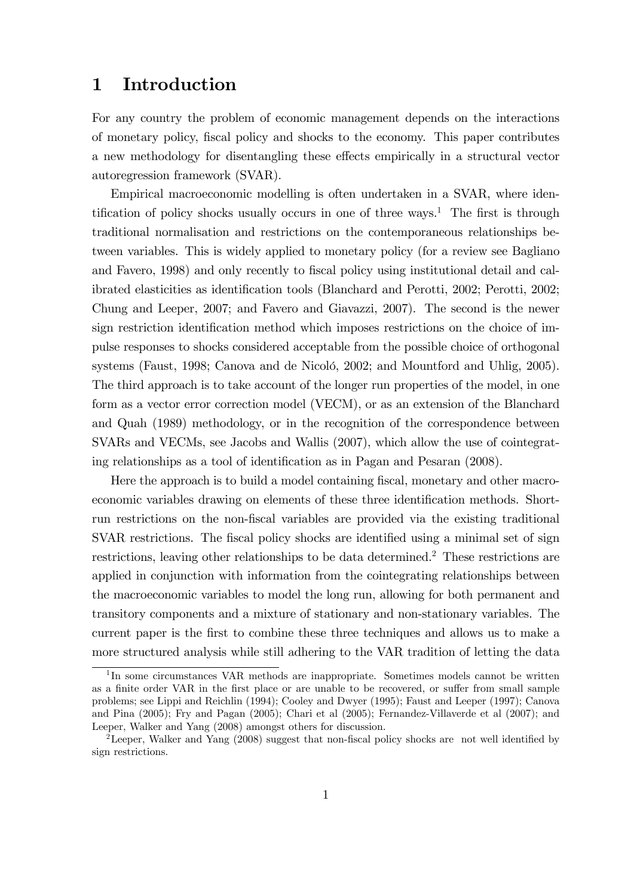#### 1 Introduction

For any country the problem of economic management depends on the interactions of monetary policy, Öscal policy and shocks to the economy. This paper contributes a new methodology for disentangling these effects empirically in a structural vector autoregression framework (SVAR).

Empirical macroeconomic modelling is often undertaken in a SVAR, where identification of policy shocks usually occurs in one of three ways.<sup>1</sup> The first is through traditional normalisation and restrictions on the contemporaneous relationships between variables. This is widely applied to monetary policy (for a review see Bagliano and Favero, 1998) and only recently to fiscal policy using institutional detail and calibrated elasticities as identification tools (Blanchard and Perotti, 2002; Perotti, 2002; Chung and Leeper, 2007; and Favero and Giavazzi, 2007). The second is the newer sign restriction identification method which imposes restrictions on the choice of impulse responses to shocks considered acceptable from the possible choice of orthogonal systems (Faust, 1998; Canova and de Nicoló, 2002; and Mountford and Uhlig, 2005). The third approach is to take account of the longer run properties of the model, in one form as a vector error correction model (VECM), or as an extension of the Blanchard and Quah (1989) methodology, or in the recognition of the correspondence between SVARs and VECMs, see Jacobs and Wallis (2007), which allow the use of cointegrating relationships as a tool of identification as in Pagan and Pesaran (2008).

Here the approach is to build a model containing fiscal, monetary and other macroeconomic variables drawing on elements of these three identification methods. Shortrun restrictions on the non-Öscal variables are provided via the existing traditional SVAR restrictions. The fiscal policy shocks are identified using a minimal set of sign restrictions, leaving other relationships to be data determined.<sup>2</sup> These restrictions are applied in conjunction with information from the cointegrating relationships between the macroeconomic variables to model the long run, allowing for both permanent and transitory components and a mixture of stationary and non-stationary variables. The current paper is the first to combine these three techniques and allows us to make a more structured analysis while still adhering to the VAR tradition of letting the data

<sup>&</sup>lt;sup>1</sup>In some circumstances VAR methods are inappropriate. Sometimes models cannot be written as a finite order VAR in the first place or are unable to be recovered, or suffer from small sample problems; see Lippi and Reichlin (1994); Cooley and Dwyer (1995); Faust and Leeper (1997); Canova and Pina (2005); Fry and Pagan (2005); Chari et al (2005); Fernandez-Villaverde et al (2007); and Leeper, Walker and Yang (2008) amongst others for discussion.

<sup>&</sup>lt;sup>2</sup> Leeper, Walker and Yang (2008) suggest that non-fiscal policy shocks are not well identified by sign restrictions.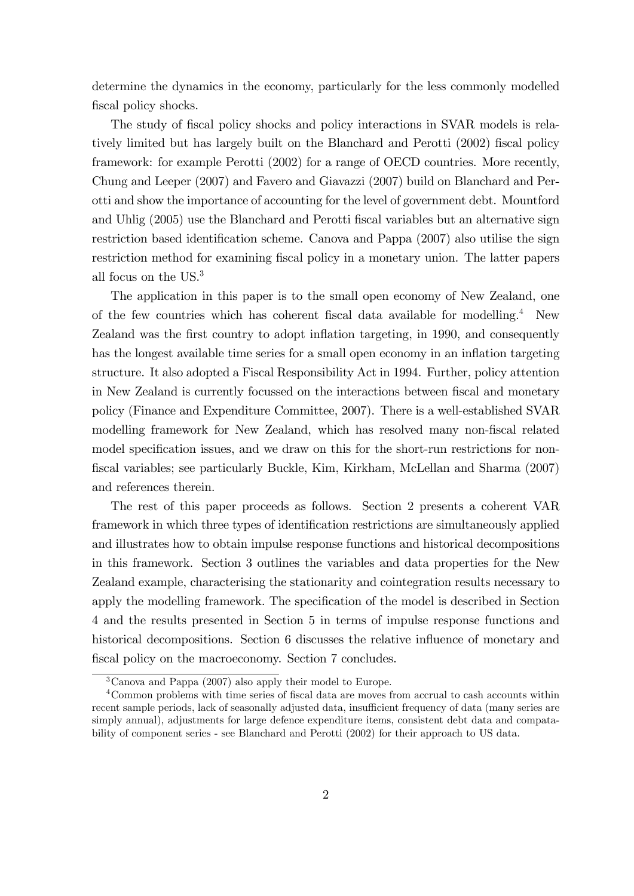determine the dynamics in the economy, particularly for the less commonly modelled fiscal policy shocks.

The study of fiscal policy shocks and policy interactions in SVAR models is relatively limited but has largely built on the Blanchard and Perotti (2002) fiscal policy framework: for example Perotti (2002) for a range of OECD countries. More recently, Chung and Leeper (2007) and Favero and Giavazzi (2007) build on Blanchard and Perotti and show the importance of accounting for the level of government debt. Mountford and Uhlig (2005) use the Blanchard and Perotti fiscal variables but an alternative sign restriction based identification scheme. Canova and Pappa (2007) also utilise the sign restriction method for examining fiscal policy in a monetary union. The latter papers all focus on the US.<sup>3</sup>

The application in this paper is to the small open economy of New Zealand, one of the few countries which has coherent fiscal data available for modelling.<sup>4</sup> New Zealand was the first country to adopt inflation targeting, in 1990, and consequently has the longest available time series for a small open economy in an inflation targeting structure. It also adopted a Fiscal Responsibility Act in 1994. Further, policy attention in New Zealand is currently focussed on the interactions between fiscal and monetary policy (Finance and Expenditure Committee, 2007). There is a well-established SVAR modelling framework for New Zealand, which has resolved many non-fiscal related model specification issues, and we draw on this for the short-run restrictions for non-Öscal variables; see particularly Buckle, Kim, Kirkham, McLellan and Sharma (2007) and references therein.

The rest of this paper proceeds as follows. Section 2 presents a coherent VAR framework in which three types of identification restrictions are simultaneously applied and illustrates how to obtain impulse response functions and historical decompositions in this framework. Section 3 outlines the variables and data properties for the New Zealand example, characterising the stationarity and cointegration results necessary to apply the modelling framework. The specification of the model is described in Section 4 and the results presented in Section 5 in terms of impulse response functions and historical decompositions. Section 6 discusses the relative influence of monetary and fiscal policy on the macroeconomy. Section 7 concludes.

<sup>3</sup>Canova and Pappa (2007) also apply their model to Europe.

<sup>&</sup>lt;sup>4</sup> Common problems with time series of fiscal data are moves from accrual to cash accounts within recent sample periods, lack of seasonally adjusted data, insufficient frequency of data (many series are simply annual), adjustments for large defence expenditure items, consistent debt data and compatability of component series - see Blanchard and Perotti (2002) for their approach to US data.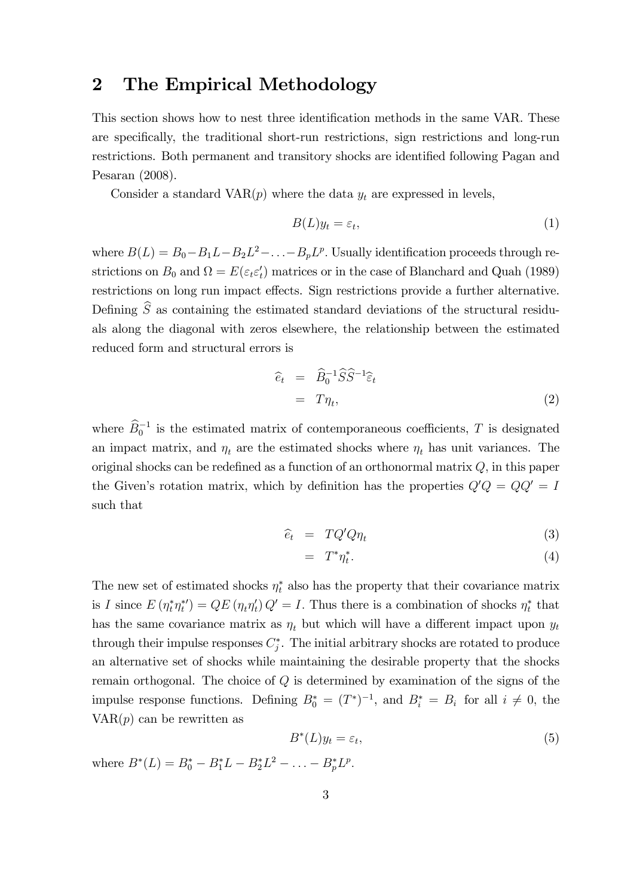### 2 The Empirical Methodology

This section shows how to nest three identification methods in the same VAR. These are specifically, the traditional short-run restrictions, sign restrictions and long-run restrictions. Both permanent and transitory shocks are identified following Pagan and Pesaran (2008).

Consider a standard  $VAR(p)$  where the data  $y_t$  are expressed in levels,

$$
B(L)y_t = \varepsilon_t,\tag{1}
$$

where  $B(L) = B_0 - B_1 L - B_2 L^2 - \ldots - B_p L^p$ . Usually identification proceeds through restrictions on  $B_0$  and  $\Omega = E(\varepsilon_t \varepsilon_t')$  matrices or in the case of Blanchard and Quah (1989) restrictions on long run impact effects. Sign restrictions provide a further alternative. Defining  $\hat{S}$  as containing the estimated standard deviations of the structural residuals along the diagonal with zeros elsewhere, the relationship between the estimated reduced form and structural errors is

$$
\begin{aligned}\n\widehat{e}_t &= \widehat{B}_0^{-1} \widehat{S} \widehat{S}^{-1} \widehat{\varepsilon}_t \\
&= T \eta_t,\n\end{aligned} \tag{2}
$$

where  $\widehat{B}_0^{-1}$  is the estimated matrix of contemporaneous coefficients, T is designated an impact matrix, and  $\eta_t$  are the estimated shocks where  $\eta_t$  has unit variances. The original shocks can be redefined as a function of an orthonormal matrix  $Q$ , in this paper the Given's rotation matrix, which by definition has the properties  $Q'Q = QQ' = I$ such that

$$
\widehat{e}_t = TQ'Q\eta_t \tag{3}
$$

$$
= T^*\eta_t^*.
$$
 (4)

The new set of estimated shocks  $\eta_t^*$  also has the property that their covariance matrix is I since  $E(\eta_t^*\eta_t^*) = QE(\eta_t\eta_t')Q' = I$ . Thus there is a combination of shocks  $\eta_t^*$  that has the same covariance matrix as  $\eta_t$  but which will have a different impact upon  $y_t$ through their impulse responses  $C_j^*$ . The initial arbitrary shocks are rotated to produce an alternative set of shocks while maintaining the desirable property that the shocks remain orthogonal. The choice of  $Q$  is determined by examination of the signs of the impulse response functions. Defining  $B_0^* = (T^*)^{-1}$ , and  $B_i^* = B_i$  for all  $i \neq 0$ , the  $VAR(p)$  can be rewritten as

$$
B^*(L)y_t = \varepsilon_t,\tag{5}
$$

where  $B^*(L) = B_0^* - B_1^*L - B_2^*L^2 - \ldots - B_p^*L^p$ .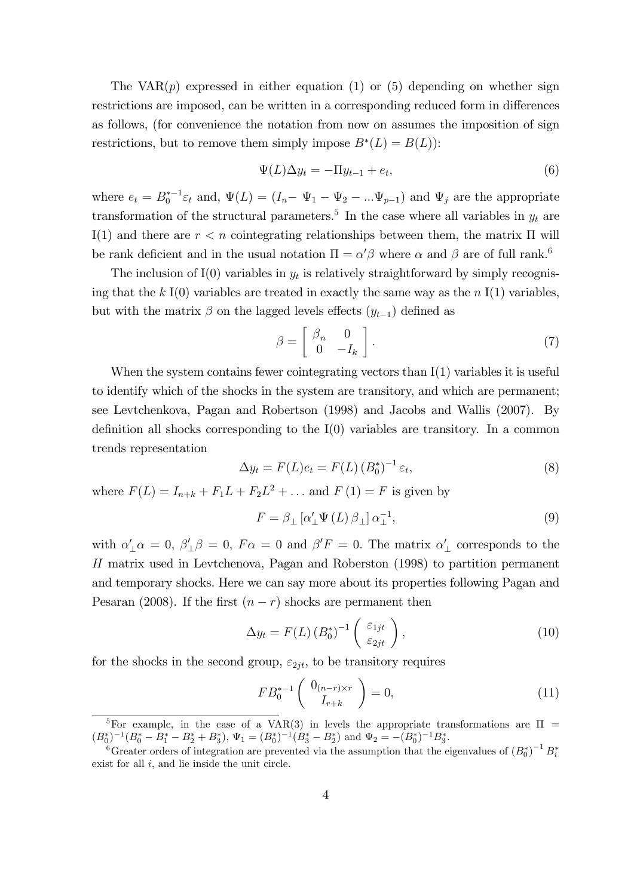The  $VAR(p)$  expressed in either equation (1) or (5) depending on whether sign restrictions are imposed, can be written in a corresponding reduced form in differences as follows, (for convenience the notation from now on assumes the imposition of sign restrictions, but to remove them simply impose  $B^*(L) = B(L)$ :

$$
\Psi(L)\Delta y_t = -\Pi y_{t-1} + e_t,\tag{6}
$$

where  $e_t = B_0^{*-1} \varepsilon_t$  and,  $\Psi(L) = (I_n - \Psi_1 - \Psi_2 - ... \Psi_{p-1})$  and  $\Psi_j$  are the appropriate transformation of the structural parameters.<sup>5</sup> In the case where all variables in  $y_t$  are I(1) and there are  $r < n$  cointegrating relationships between them, the matrix  $\Pi$  will be rank deficient and in the usual notation  $\Pi = \alpha' \beta$  where  $\alpha$  and  $\beta$  are of full rank.<sup>6</sup>

The inclusion of  $I(0)$  variables in  $y_t$  is relatively straightforward by simply recognising that the k I(0) variables are treated in exactly the same way as the n I(1) variables, but with the matrix  $\beta$  on the lagged levels effects  $(y_{t-1})$  defined as

$$
\beta = \left[ \begin{array}{cc} \beta_n & 0 \\ 0 & -I_k \end{array} \right]. \tag{7}
$$

When the system contains fewer cointegrating vectors than I(1) variables it is useful to identify which of the shocks in the system are transitory, and which are permanent; see Levtchenkova, Pagan and Robertson (1998) and Jacobs and Wallis (2007). By definition all shocks corresponding to the  $I(0)$  variables are transitory. In a common trends representation

$$
\Delta y_t = F(L)e_t = F(L) (B_0^*)^{-1} \varepsilon_t, \tag{8}
$$

where  $F(L) = I_{n+k} + F_1 L + F_2 L^2 + ...$  and  $F(1) = F$  is given by

$$
F = \beta_{\perp} \left[ \alpha'_{\perp} \Psi \left( L \right) \beta_{\perp} \right] \alpha_{\perp}^{-1}, \tag{9}
$$

with  $\alpha'_{\perp}\alpha = 0$ ,  $\beta'_{\perp}\beta = 0$ ,  $F\alpha = 0$  and  $\beta'F = 0$ . The matrix  $\alpha'_{\perp}$  corresponds to the H matrix used in Levtchenova, Pagan and Roberston (1998) to partition permanent and temporary shocks. Here we can say more about its properties following Pagan and Pesaran (2008). If the first  $(n - r)$  shocks are permanent then

$$
\Delta y_t = F(L) (B_0^*)^{-1} \begin{pmatrix} \varepsilon_{1jt} \\ \varepsilon_{2jt} \end{pmatrix}, \qquad (10)
$$

for the shocks in the second group,  $\varepsilon_{2it}$ , to be transitory requires

$$
FB_0^{*-1} \left( \begin{array}{c} 0_{(n-r)\times r} \\ I_{r+k} \end{array} \right) = 0, \tag{11}
$$

<sup>&</sup>lt;sup>5</sup>For example, in the case of a VAR(3) in levels the appropriate transformations are  $\Pi$  =  $(B_0^*)^{-1}(B_0^* - B_1^* - B_2^* + B_3^*), \Psi_1 = (B_0^*)^{-1}(B_3^* - B_2^*)$  and  $\Psi_2 = -(B_0^*)^{-1}B_3^*$ .

<sup>&</sup>lt;sup>6</sup>Greater orders of integration are prevented via the assumption that the eigenvalues of  $(B_0^*)^{-1}B_i^*$ exist for all  $i$ , and lie inside the unit circle.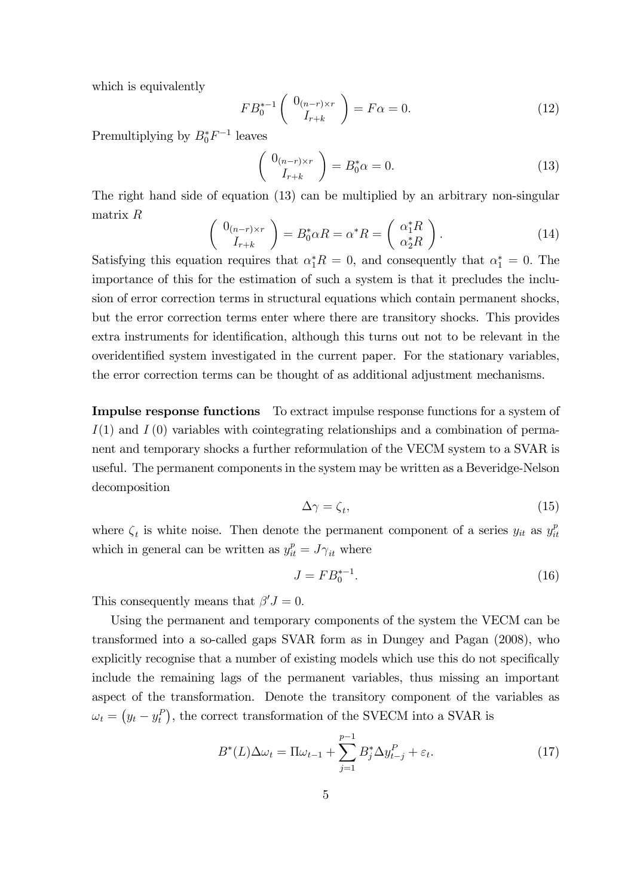which is equivalently

$$
FB_0^{*-1} \left( \begin{array}{c} 0_{(n-r)\times r} \\ I_{r+k} \end{array} \right) = F\alpha = 0. \tag{12}
$$

Premultiplying by  $B_0^*F^{-1}$  leaves

$$
\begin{pmatrix}\n0_{(n-r)\times r} \\
I_{r+k}\n\end{pmatrix} = B_0^* \alpha = 0.
$$
\n(13)

The right hand side of equation (13) can be multiplied by an arbitrary non-singular matrix R  $\sqrt{ }$ 

$$
\begin{pmatrix} 0_{(n-r)\times r} \\ I_{r+k} \end{pmatrix} = B_0^* \alpha R = \alpha^* R = \begin{pmatrix} \alpha_1^* R \\ \alpha_2^* R \end{pmatrix}.
$$
 (14)

Satisfying this equation requires that  $\alpha_1^* R = 0$ , and consequently that  $\alpha_1^* = 0$ . The importance of this for the estimation of such a system is that it precludes the inclusion of error correction terms in structural equations which contain permanent shocks, but the error correction terms enter where there are transitory shocks. This provides extra instruments for identification, although this turns out not to be relevant in the overidentified system investigated in the current paper. For the stationary variables, the error correction terms can be thought of as additional adjustment mechanisms.

Impulse response functions To extract impulse response functions for a system of  $I(1)$  and  $I(0)$  variables with cointegrating relationships and a combination of permanent and temporary shocks a further reformulation of the VECM system to a SVAR is useful. The permanent components in the system may be written as a Beveridge-Nelson decomposition

$$
\Delta \gamma = \zeta_t,\tag{15}
$$

where  $\zeta_t$  is white noise. Then denote the permanent component of a series  $y_{it}$  as  $y_{ii}^p$ it which in general can be written as  $y_{it}^p = J\gamma_{it}$  where

$$
J = FB_0^{*-1}.\t(16)
$$

This consequently means that  $\beta' J = 0$ .

Using the permanent and temporary components of the system the VECM can be transformed into a so-called gaps SVAR form as in Dungey and Pagan (2008), who explicitly recognise that a number of existing models which use this do not specifically include the remaining lags of the permanent variables, thus missing an important aspect of the transformation. Denote the transitory component of the variables as  $\omega_t = (y_t - y_t^P)$ , the correct transformation of the SVECM into a SVAR is

$$
B^*(L)\Delta\omega_t = \Pi\omega_{t-1} + \sum_{j=1}^{p-1} B_j^*\Delta y_{t-j}^P + \varepsilon_t.
$$
 (17)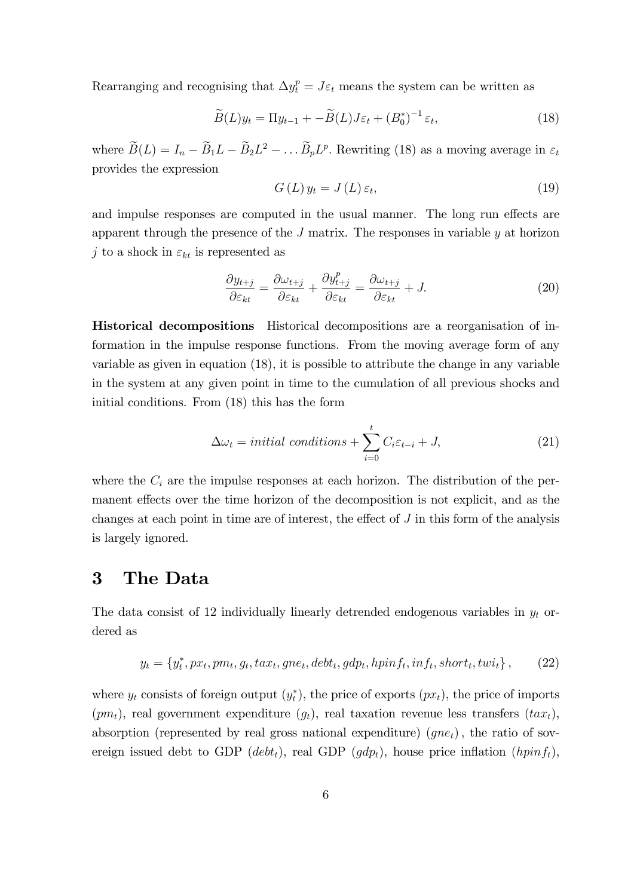Rearranging and recognising that  $\Delta y_t^p = J \varepsilon_t$  means the system can be written as

$$
\widetilde{B}(L)y_t = \Pi y_{t-1} + -\widetilde{B}(L)J\varepsilon_t + (B_0^*)^{-1}\varepsilon_t,
$$
\n(18)

where  $B(L) = I_n - B_1 L - B_2 L^2 - \dots B_p L^p$ . Rewriting (18) as a moving average in  $\varepsilon_t$ provides the expression

$$
G\left(L\right)y_t = J\left(L\right)\varepsilon_t,\tag{19}
$$

and impulse responses are computed in the usual manner. The long run effects are apparent through the presence of the  $J$  matrix. The responses in variable  $y$  at horizon j to a shock in  $\varepsilon_{kt}$  is represented as

$$
\frac{\partial y_{t+j}}{\partial \varepsilon_{kt}} = \frac{\partial \omega_{t+j}}{\partial \varepsilon_{kt}} + \frac{\partial y_{t+j}^p}{\partial \varepsilon_{kt}} = \frac{\partial \omega_{t+j}}{\partial \varepsilon_{kt}} + J. \tag{20}
$$

Historical decompositions Historical decompositions are a reorganisation of information in the impulse response functions. From the moving average form of any variable as given in equation (18), it is possible to attribute the change in any variable in the system at any given point in time to the cumulation of all previous shocks and initial conditions. From (18) this has the form

$$
\Delta \omega_t = initial\ conditions + \sum_{i=0}^t C_i \varepsilon_{t-i} + J,\tag{21}
$$

where the  $C_i$  are the impulse responses at each horizon. The distribution of the permanent effects over the time horizon of the decomposition is not explicit, and as the changes at each point in time are of interest, the effect of  $J$  in this form of the analysis is largely ignored.

#### 3 The Data

The data consist of 12 individually linearly detrended endogenous variables in  $y_t$  ordered as

$$
y_t = \{y_t^*, px_t, pm_t, g_t, tax_t, gne_t, debt_t, gdp_t, hpinf_t, inf_t, short_t, twi_t\},\qquad(22)
$$

where  $y_t$  consists of foreign output  $(y_t^*)$ , the price of exports  $(px_t)$ , the price of imports  $(pm_t)$ , real government expenditure  $(g_t)$ , real taxation revenue less transfers  $(tax_t)$ , absorption (represented by real gross national expenditure)  $(qne_t)$ , the ratio of sovereign issued debt to GDP (debt<sub>t</sub>), real GDP (gdp<sub>t</sub>), house price inflation (hpinf<sub>t</sub>),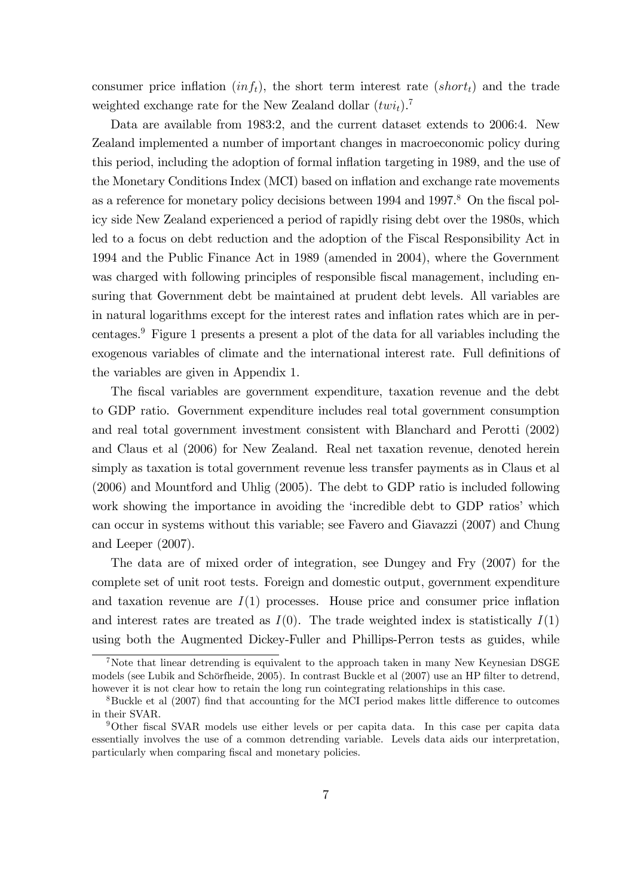consumer price inflation  $(inf_t)$ , the short term interest rate  $(short_t)$  and the trade weighted exchange rate for the New Zealand dollar  $(twi_t)$ .<sup>7</sup>

Data are available from 1983:2, and the current dataset extends to 2006:4. New Zealand implemented a number of important changes in macroeconomic policy during this period, including the adoption of formal inflation targeting in 1989, and the use of the Monetary Conditions Index (MCI) based on ináation and exchange rate movements as a reference for monetary policy decisions between 1994 and 1997.<sup>8</sup> On the fiscal policy side New Zealand experienced a period of rapidly rising debt over the 1980s, which led to a focus on debt reduction and the adoption of the Fiscal Responsibility Act in 1994 and the Public Finance Act in 1989 (amended in 2004), where the Government was charged with following principles of responsible fiscal management, including ensuring that Government debt be maintained at prudent debt levels. All variables are in natural logarithms except for the interest rates and inflation rates which are in percentages.<sup>9</sup> Figure 1 presents a present a plot of the data for all variables including the exogenous variables of climate and the international interest rate. Full definitions of the variables are given in Appendix 1.

The Öscal variables are government expenditure, taxation revenue and the debt to GDP ratio. Government expenditure includes real total government consumption and real total government investment consistent with Blanchard and Perotti (2002) and Claus et al (2006) for New Zealand. Real net taxation revenue, denoted herein simply as taxation is total government revenue less transfer payments as in Claus et al (2006) and Mountford and Uhlig (2005). The debt to GDP ratio is included following work showing the importance in avoiding the 'incredible debt to GDP ratios' which can occur in systems without this variable; see Favero and Giavazzi (2007) and Chung and Leeper (2007).

The data are of mixed order of integration, see Dungey and Fry (2007) for the complete set of unit root tests. Foreign and domestic output, government expenditure and taxation revenue are  $I(1)$  processes. House price and consumer price inflation and interest rates are treated as  $I(0)$ . The trade weighted index is statistically  $I(1)$ using both the Augmented Dickey-Fuller and Phillips-Perron tests as guides, while

<sup>7</sup>Note that linear detrending is equivalent to the approach taken in many New Keynesian DSGE models (see Lubik and Schörfheide, 2005). In contrast Buckle et al (2007) use an HP filter to detrend, however it is not clear how to retain the long run cointegrating relationships in this case.

 $8Buckle$  et al  $(2007)$  find that accounting for the MCI period makes little difference to outcomes in their SVAR.

<sup>&</sup>lt;sup>9</sup>Other fiscal SVAR models use either levels or per capita data. In this case per capita data essentially involves the use of a common detrending variable. Levels data aids our interpretation, particularly when comparing fiscal and monetary policies.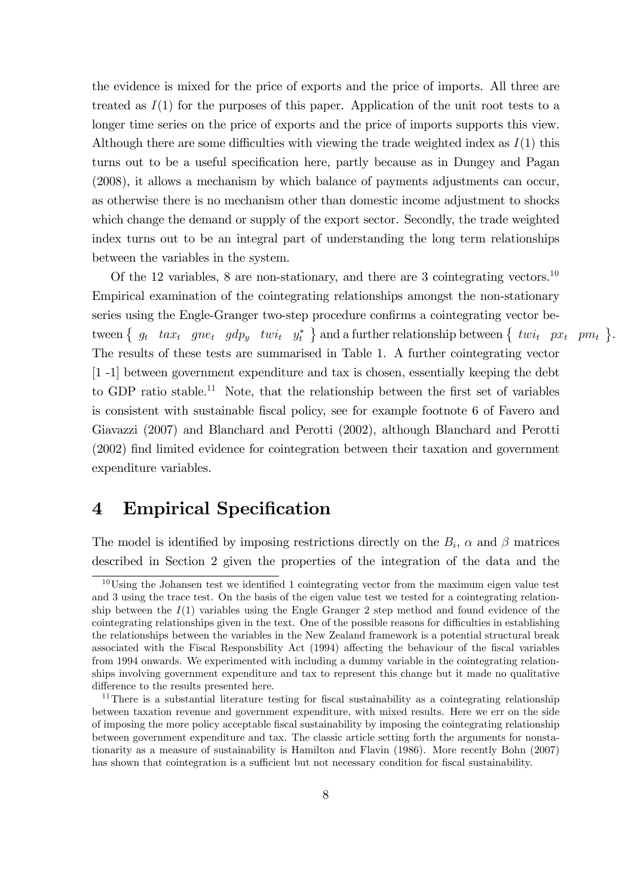the evidence is mixed for the price of exports and the price of imports. All three are treated as  $I(1)$  for the purposes of this paper. Application of the unit root tests to a longer time series on the price of exports and the price of imports supports this view. Although there are some difficulties with viewing the trade weighted index as  $I(1)$  this turns out to be a useful specification here, partly because as in Dungey and Pagan (2008), it allows a mechanism by which balance of payments adjustments can occur, as otherwise there is no mechanism other than domestic income adjustment to shocks which change the demand or supply of the export sector. Secondly, the trade weighted index turns out to be an integral part of understanding the long term relationships between the variables in the system.

Of the 12 variables, 8 are non-stationary, and there are 3 cointegrating vectors.<sup>10</sup> Empirical examination of the cointegrating relationships amongst the non-stationary series using the Engle-Granger two-step procedure confirms a cointegrating vector between  $\{ g_t$  ta $x_t$  gne<sub>t</sub> gdp<sub>y</sub> twi<sub>t</sub>  $y_t^*$  and a further relationship between  $\{ twi_t$  p $x_t$  pm<sub>t</sub>  $\}$ . The results of these tests are summarised in Table 1. A further cointegrating vector [1 -1] between government expenditure and tax is chosen, essentially keeping the debt to GDP ratio stable.<sup>11</sup> Note, that the relationship between the first set of variables is consistent with sustainable fiscal policy, see for example footnote 6 of Favero and Giavazzi (2007) and Blanchard and Perotti (2002), although Blanchard and Perotti (2002) Önd limited evidence for cointegration between their taxation and government expenditure variables.

#### 4 Empirical Specification

The model is identified by imposing restrictions directly on the  $B_i$ ,  $\alpha$  and  $\beta$  matrices described in Section 2 given the properties of the integration of the data and the

 $10$ Using the Johansen test we identified 1 cointegrating vector from the maximum eigen value test and 3 using the trace test. On the basis of the eigen value test we tested for a cointegrating relationship between the  $I(1)$  variables using the Engle Granger 2 step method and found evidence of the cointegrating relationships given in the text. One of the possible reasons for difficulties in establishing the relationships between the variables in the New Zealand framework is a potential structural break associated with the Fiscal Responsbility Act (1994) affecting the behaviour of the fiscal variables from 1994 onwards. We experimented with including a dummy variable in the cointegrating relationships involving government expenditure and tax to represent this change but it made no qualitative difference to the results presented here.

<sup>&</sup>lt;sup>11</sup>There is a substantial literature testing for fiscal sustainability as a cointegrating relationship between taxation revenue and government expenditure, with mixed results. Here we err on the side of imposing the more policy acceptable Öscal sustainability by imposing the cointegrating relationship between government expenditure and tax. The classic article setting forth the arguments for nonstationarity as a measure of sustainability is Hamilton and Flavin (1986). More recently Bohn (2007) has shown that cointegration is a sufficient but not necessary condition for fiscal sustainability.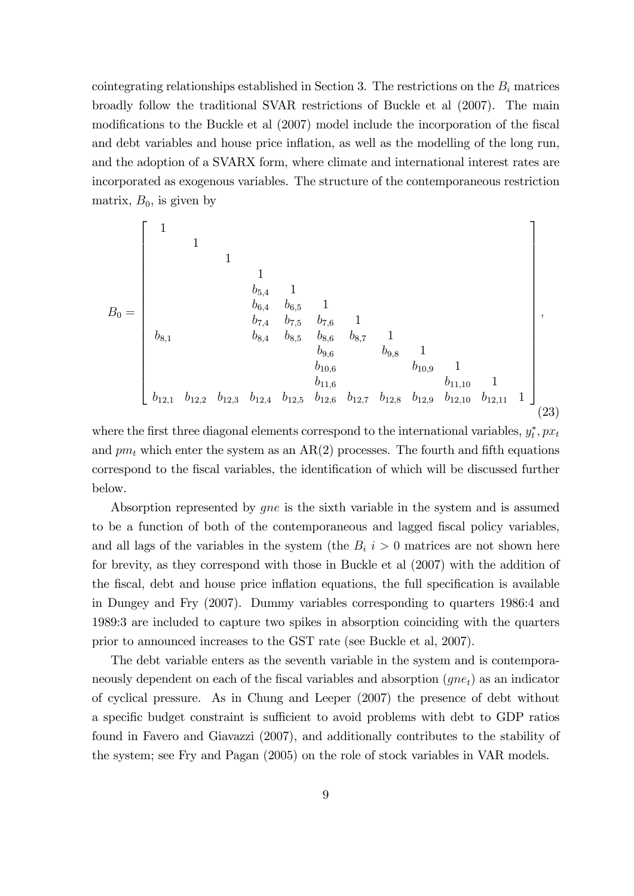cointegrating relationships established in Section 3. The restrictions on the  $B_i$  matrices broadly follow the traditional SVAR restrictions of Buckle et al (2007). The main modifications to the Buckle et al (2007) model include the incorporation of the fiscal and debt variables and house price inflation, as well as the modelling of the long run, and the adoption of a SVARX form, where climate and international interest rates are incorporated as exogenous variables. The structure of the contemporaneous restriction matrix,  $B_0$ , is given by

B<sup>0</sup> = 2 6 6 6 6 6 6 6 6 6 6 6 6 6 6 6 6 6 6 4 1 1 1 1 b5;<sup>4</sup> 1 b6;<sup>4</sup> b6;<sup>5</sup> 1 b7;<sup>4</sup> b7;<sup>5</sup> b7;<sup>6</sup> 1 b8;<sup>1</sup> b8;<sup>4</sup> b8;<sup>5</sup> b8;<sup>6</sup> b8;<sup>7</sup> 1 b9;<sup>6</sup> b9;<sup>8</sup> 1 b10;<sup>6</sup> b10;<sup>9</sup> 1 b11;<sup>6</sup> b11;<sup>10</sup> 1 b12;<sup>1</sup> b12;<sup>2</sup> b12;<sup>3</sup> b12;<sup>4</sup> b12;<sup>5</sup> b12;<sup>6</sup> b12;<sup>7</sup> b12;<sup>8</sup> b12;<sup>9</sup> b12;<sup>10</sup> b12;<sup>11</sup> 1 3 7 7 7 7 7 7 7 7 7 7 7 7 7 7 7 7 7 7 5 ; (23)

where the first three diagonal elements correspond to the international variables,  $y_t^*, px_t$ and  $pm_t$  which enter the system as an AR(2) processes. The fourth and fifth equations correspond to the fiscal variables, the identification of which will be discussed further below.

Absorption represented by gne is the sixth variable in the system and is assumed to be a function of both of the contemporaneous and lagged fiscal policy variables, and all lags of the variables in the system (the  $B_i$  i  $> 0$  matrices are not shown here for brevity, as they correspond with those in Buckle et al (2007) with the addition of the fiscal, debt and house price inflation equations, the full specification is available in Dungey and Fry (2007). Dummy variables corresponding to quarters 1986:4 and 1989:3 are included to capture two spikes in absorption coinciding with the quarters prior to announced increases to the GST rate (see Buckle et al, 2007).

The debt variable enters as the seventh variable in the system and is contemporaneously dependent on each of the fiscal variables and absorption  $(gne_t)$  as an indicator of cyclical pressure. As in Chung and Leeper (2007) the presence of debt without a specific budget constraint is sufficient to avoid problems with debt to GDP ratios found in Favero and Giavazzi (2007), and additionally contributes to the stability of the system; see Fry and Pagan (2005) on the role of stock variables in VAR models.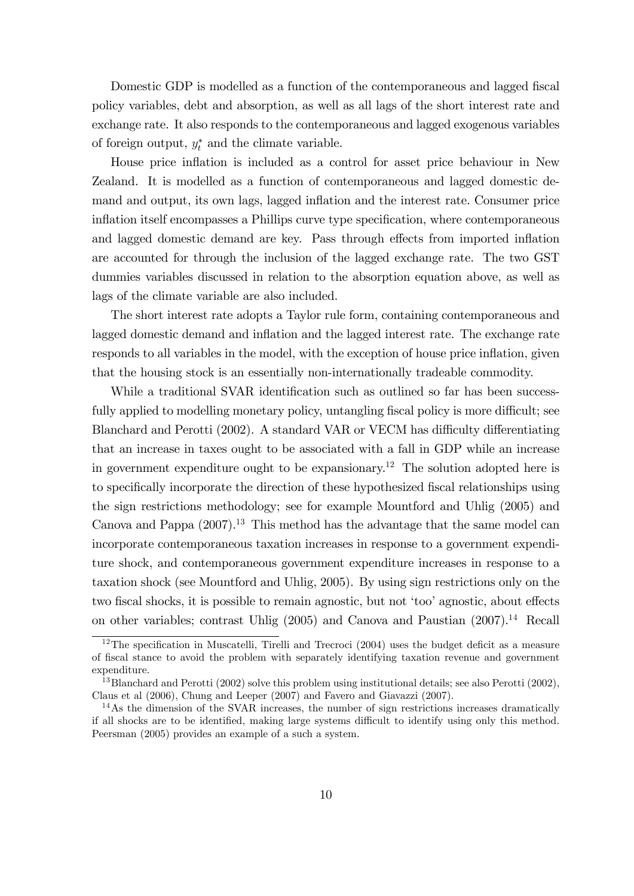Domestic GDP is modelled as a function of the contemporaneous and lagged fiscal policy variables, debt and absorption, as well as all lags of the short interest rate and exchange rate. It also responds to the contemporaneous and lagged exogenous variables of foreign output,  $y_t^*$  and the climate variable.

House price inflation is included as a control for asset price behaviour in New Zealand. It is modelled as a function of contemporaneous and lagged domestic demand and output, its own lags, lagged inflation and the interest rate. Consumer price inflation itself encompasses a Phillips curve type specification, where contemporaneous and lagged domestic demand are key. Pass through effects from imported inflation are accounted for through the inclusion of the lagged exchange rate. The two GST dummies variables discussed in relation to the absorption equation above, as well as lags of the climate variable are also included.

The short interest rate adopts a Taylor rule form, containing contemporaneous and lagged domestic demand and inflation and the lagged interest rate. The exchange rate responds to all variables in the model, with the exception of house price inflation, given that the housing stock is an essentially non-internationally tradeable commodity.

While a traditional SVAR identification such as outlined so far has been successfully applied to modelling monetary policy, untangling fiscal policy is more difficult; see Blanchard and Perotti (2002). A standard VAR or VECM has difficulty differentiating that an increase in taxes ought to be associated with a fall in GDP while an increase in government expenditure ought to be expansionary.<sup>12</sup> The solution adopted here is to specifically incorporate the direction of these hypothesized fiscal relationships using the sign restrictions methodology; see for example Mountford and Uhlig (2005) and Canova and Pappa  $(2007).<sup>13</sup>$  This method has the advantage that the same model can incorporate contemporaneous taxation increases in response to a government expenditure shock, and contemporaneous government expenditure increases in response to a taxation shock (see Mountford and Uhlig, 2005). By using sign restrictions only on the two fiscal shocks, it is possible to remain agnostic, but not 'too' agnostic, about effects on other variables; contrast Uhlig  $(2005)$  and Canova and Paustian  $(2007).<sup>14</sup>$  Recall

 $12$ The specification in Muscatelli, Tirelli and Trecroci (2004) uses the budget deficit as a measure of Öscal stance to avoid the problem with separately identifying taxation revenue and government expenditure.

<sup>&</sup>lt;sup>13</sup>Blanchard and Perotti (2002) solve this problem using institutional details; see also Perotti (2002), Claus et al (2006), Chung and Leeper (2007) and Favero and Giavazzi (2007).

 $14\text{As}$  the dimension of the SVAR increases, the number of sign restrictions increases dramatically if all shocks are to be identified, making large systems difficult to identify using only this method. Peersman (2005) provides an example of a such a system.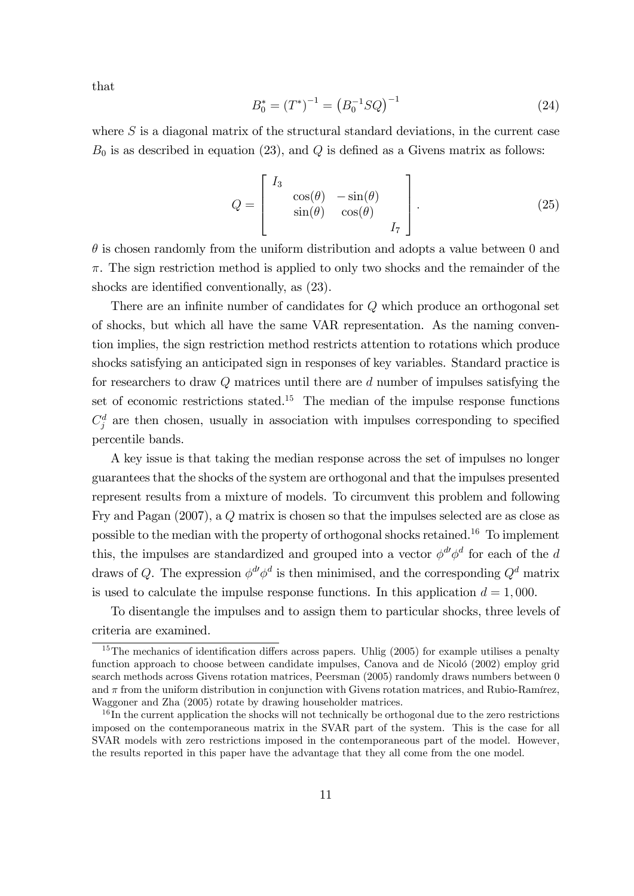that

$$
B_0^* = (T^*)^{-1} = (B_0^{-1}SQ)^{-1}
$$
\n(24)

where  $S$  is a diagonal matrix of the structural standard deviations, in the current case  $B_0$  is as described in equation (23), and Q is defined as a Givens matrix as follows:

$$
Q = \begin{bmatrix} I_3 & & & \\ & \cos(\theta) & -\sin(\theta) & \\ & \sin(\theta) & \cos(\theta) & \\ & & I_7 \end{bmatrix} .
$$
 (25)

 $\theta$  is chosen randomly from the uniform distribution and adopts a value between 0 and  $\pi$ . The sign restriction method is applied to only two shocks and the remainder of the shocks are identified conventionally, as  $(23)$ .

There are an infinite number of candidates for  $Q$  which produce an orthogonal set of shocks, but which all have the same VAR representation. As the naming convention implies, the sign restriction method restricts attention to rotations which produce shocks satisfying an anticipated sign in responses of key variables. Standard practice is for researchers to draw Q matrices until there are d number of impulses satisfying the set of economic restrictions stated.<sup>15</sup> The median of the impulse response functions  $C_j^d$  are then chosen, usually in association with impulses corresponding to specified percentile bands.

A key issue is that taking the median response across the set of impulses no longer guarantees that the shocks of the system are orthogonal and that the impulses presented represent results from a mixture of models. To circumvent this problem and following Fry and Pagan (2007), a Q matrix is chosen so that the impulses selected are as close as possible to the median with the property of orthogonal shocks retained.<sup>16</sup> To implement this, the impulses are standardized and grouped into a vector  $\phi^{\text{d}\prime}\phi^{\text{d}}$  for each of the d draws of Q. The expression  $\phi^d \phi^d$  is then minimised, and the corresponding  $Q^d$  matrix is used to calculate the impulse response functions. In this application  $d = 1,000$ .

To disentangle the impulses and to assign them to particular shocks, three levels of criteria are examined.

 $15$ The mechanics of identification differs across papers. Uhlig (2005) for example utilises a penalty function approach to choose between candidate impulses, Canova and de Nicoló (2002) employ grid search methods across Givens rotation matrices, Peersman (2005) randomly draws numbers between 0 and  $\pi$  from the uniform distribution in conjunction with Givens rotation matrices, and Rubio-Ramírez, Waggoner and Zha (2005) rotate by drawing householder matrices.

 $16$  In the current application the shocks will not technically be orthogonal due to the zero restrictions imposed on the contemporaneous matrix in the SVAR part of the system. This is the case for all SVAR models with zero restrictions imposed in the contemporaneous part of the model. However, the results reported in this paper have the advantage that they all come from the one model.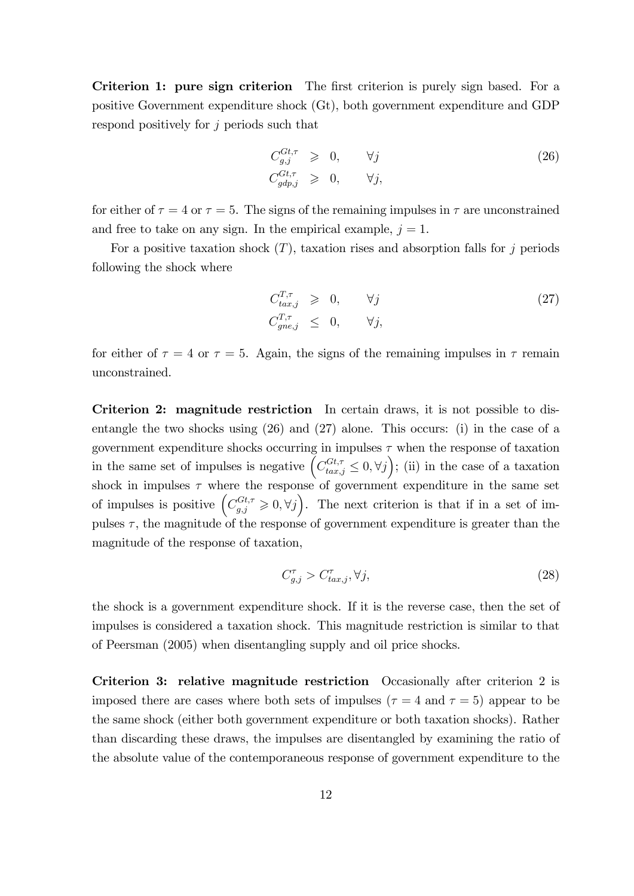Criterion 1: pure sign criterion The first criterion is purely sign based. For a positive Government expenditure shock (Gt), both government expenditure and GDP respond positively for j periods such that

$$
C_{g,j}^{Gt,\tau} \geq 0, \qquad \forall j
$$
  
\n
$$
C_{gdp,j}^{Gt,\tau} \geq 0, \qquad \forall j,
$$
\n(26)

for either of  $\tau = 4$  or  $\tau = 5$ . The signs of the remaining impulses in  $\tau$  are unconstrained and free to take on any sign. In the empirical example,  $j = 1$ .

For a positive taxation shock  $(T)$ , taxation rises and absorption falls for j periods following the shock where

$$
C_{tax,j}^{T,\tau} \geq 0, \qquad \forall j
$$
  
\n
$$
C_{gne,j}^{T,\tau} \leq 0, \qquad \forall j,
$$
\n(27)

for either of  $\tau = 4$  or  $\tau = 5$ . Again, the signs of the remaining impulses in  $\tau$  remain unconstrained.

Criterion 2: magnitude restriction In certain draws, it is not possible to disentangle the two shocks using (26) and (27) alone. This occurs: (i) in the case of a government expenditure shocks occurring in impulses  $\tau$  when the response of taxation in the same set of impulses is negative  $(C_{tax,j}^{Gt,\tau} \leq 0, \forall j);$  (ii) in the case of a taxation shock in impulses  $\tau$  where the response of government expenditure in the same set of impulses is positive  $(C_{g,j}^{Gt,\tau} \geqslant 0, \forall j)$ . The next criterion is that if in a set of impulses  $\tau$ , the magnitude of the response of government expenditure is greater than the magnitude of the response of taxation,

$$
C_{g,j}^{\tau} > C_{tax,j}^{\tau}, \forall j,
$$
\n
$$
(28)
$$

the shock is a government expenditure shock. If it is the reverse case, then the set of impulses is considered a taxation shock. This magnitude restriction is similar to that of Peersman (2005) when disentangling supply and oil price shocks.

Criterion 3: relative magnitude restriction Occasionally after criterion 2 is imposed there are cases where both sets of impulses ( $\tau = 4$  and  $\tau = 5$ ) appear to be the same shock (either both government expenditure or both taxation shocks). Rather than discarding these draws, the impulses are disentangled by examining the ratio of the absolute value of the contemporaneous response of government expenditure to the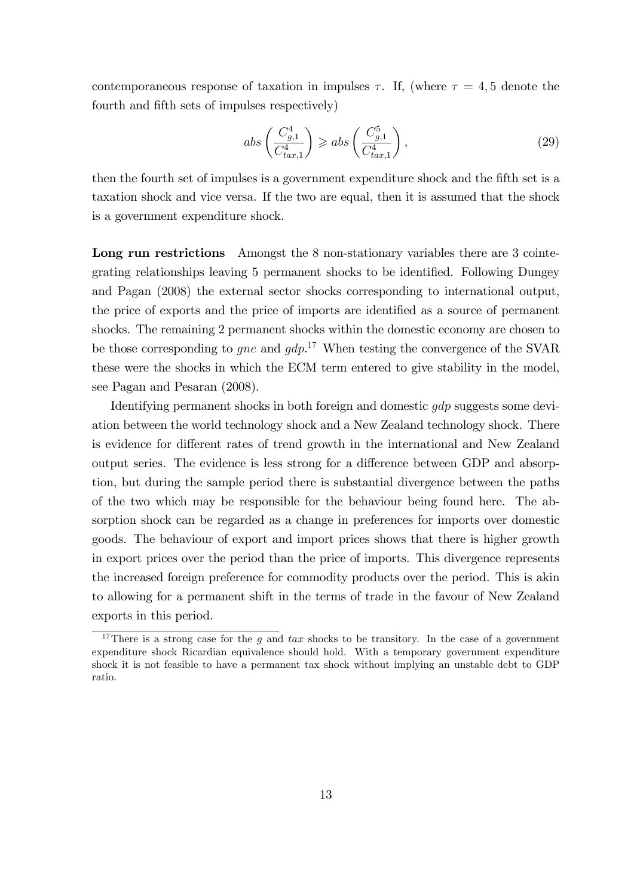contemporaneous response of taxation in impulses  $\tau$ . If, (where  $\tau = 4, 5$  denote the fourth and fifth sets of impulses respectively)

$$
abs\left(\frac{C_{g,1}^4}{C_{tax,1}^4}\right) \geqslant abs\left(\frac{C_{g,1}^5}{C_{tax,1}^4}\right),\tag{29}
$$

then the fourth set of impulses is a government expenditure shock and the fifth set is a taxation shock and vice versa. If the two are equal, then it is assumed that the shock is a government expenditure shock.

Long run restrictions Amongst the 8 non-stationary variables there are 3 cointegrating relationships leaving 5 permanent shocks to be identified. Following Dungey and Pagan (2008) the external sector shocks corresponding to international output, the price of exports and the price of imports are identified as a source of permanent shocks. The remaining 2 permanent shocks within the domestic economy are chosen to be those corresponding to *gne* and  $gdp$ <sup>17</sup> When testing the convergence of the SVAR these were the shocks in which the ECM term entered to give stability in the model, see Pagan and Pesaran (2008).

Identifying permanent shocks in both foreign and domestic gdp suggests some deviation between the world technology shock and a New Zealand technology shock. There is evidence for different rates of trend growth in the international and New Zealand output series. The evidence is less strong for a difference between GDP and absorption, but during the sample period there is substantial divergence between the paths of the two which may be responsible for the behaviour being found here. The absorption shock can be regarded as a change in preferences for imports over domestic goods. The behaviour of export and import prices shows that there is higher growth in export prices over the period than the price of imports. This divergence represents the increased foreign preference for commodity products over the period. This is akin to allowing for a permanent shift in the terms of trade in the favour of New Zealand exports in this period.

<sup>&</sup>lt;sup>17</sup>There is a strong case for the g and tax shocks to be transitory. In the case of a government expenditure shock Ricardian equivalence should hold. With a temporary government expenditure shock it is not feasible to have a permanent tax shock without implying an unstable debt to GDP ratio.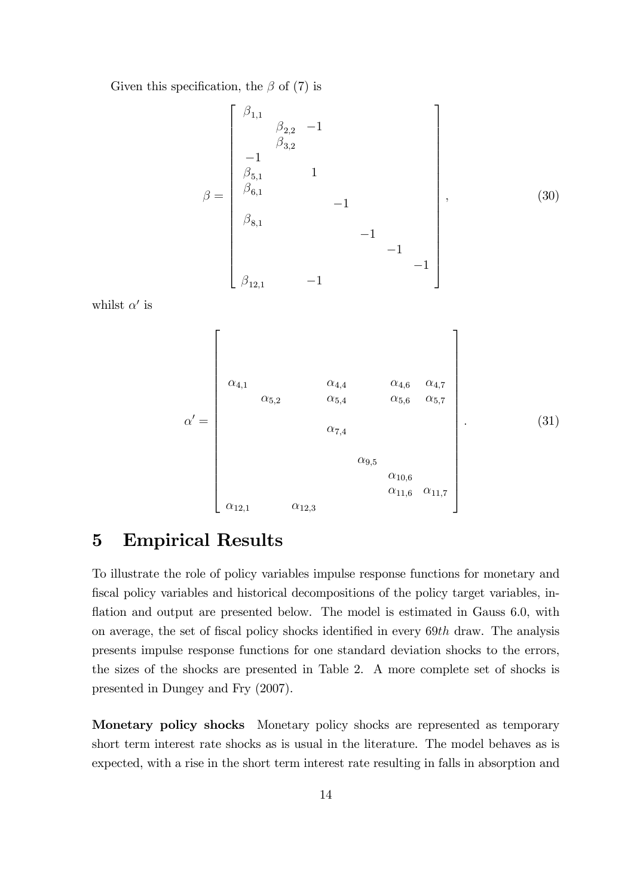Given this specification, the  $\beta$  of (7) is

$$
\beta = \begin{bmatrix}\n\beta_{1,1} & & & & & & \\
 & \beta_{2,2} & -1 & & & & \\
 & \beta_{3,2} & & & & \\
 & -1 & & & & & \\
 & \beta_{5,1} & & 1 & & & \\
 & \beta_{6,1} & & & & -1 & \\
 & & & & -1 & & \\
 & & & & & -1 & \\
 & & & & & -1 & \\
 & & & & & & -1\n\end{bmatrix},
$$
\n(30)

whilst  $\alpha'$  is

$$
\alpha' = \begin{bmatrix}\n\alpha_{4,1} & \alpha_{4,4} & \alpha_{4,6} & \alpha_{4,7} \\
\alpha_{5,2} & \alpha_{5,4} & \alpha_{5,6} & \alpha_{5,7} \\
\alpha_{7,4} & & & \\
\alpha_{9,5} & & \\
\alpha_{10,6} & & \\
\alpha_{12,1} & \alpha_{12,3}\n\end{bmatrix} .
$$
\n(31)

#### 5 Empirical Results

To illustrate the role of policy variables impulse response functions for monetary and fiscal policy variables and historical decompositions of the policy target variables, inflation and output are presented below. The model is estimated in Gauss 6.0, with on average, the set of fiscal policy shocks identified in every  $69th$  draw. The analysis presents impulse response functions for one standard deviation shocks to the errors, the sizes of the shocks are presented in Table 2. A more complete set of shocks is presented in Dungey and Fry (2007).

Monetary policy shocks Monetary policy shocks are represented as temporary short term interest rate shocks as is usual in the literature. The model behaves as is expected, with a rise in the short term interest rate resulting in falls in absorption and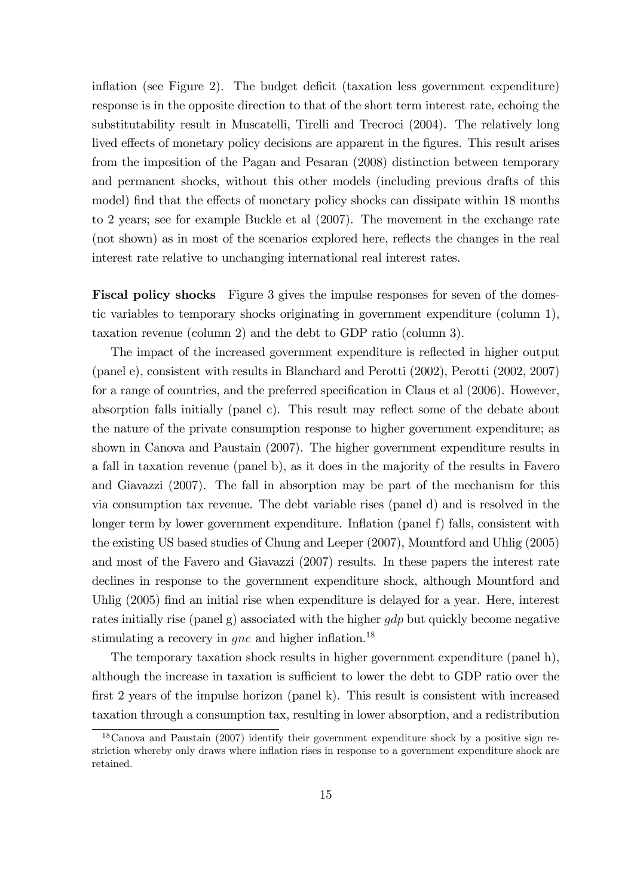inflation (see Figure 2). The budget deficit (taxation less government expenditure) response is in the opposite direction to that of the short term interest rate, echoing the substitutability result in Muscatelli, Tirelli and Trecroci (2004). The relatively long lived effects of monetary policy decisions are apparent in the figures. This result arises from the imposition of the Pagan and Pesaran (2008) distinction between temporary and permanent shocks, without this other models (including previous drafts of this model) find that the effects of monetary policy shocks can dissipate within 18 months to 2 years; see for example Buckle et al (2007). The movement in the exchange rate (not shown) as in most of the scenarios explored here, reflects the changes in the real interest rate relative to unchanging international real interest rates.

Fiscal policy shocks Figure 3 gives the impulse responses for seven of the domestic variables to temporary shocks originating in government expenditure (column 1), taxation revenue (column 2) and the debt to GDP ratio (column 3).

The impact of the increased government expenditure is reflected in higher output (panel e), consistent with results in Blanchard and Perotti (2002), Perotti (2002, 2007) for a range of countries, and the preferred specification in Claus et al (2006). However, absorption falls initially (panel c). This result may reflect some of the debate about the nature of the private consumption response to higher government expenditure; as shown in Canova and Paustain (2007). The higher government expenditure results in a fall in taxation revenue (panel b), as it does in the majority of the results in Favero and Giavazzi (2007). The fall in absorption may be part of the mechanism for this via consumption tax revenue. The debt variable rises (panel d) and is resolved in the longer term by lower government expenditure. Inflation (panel f) falls, consistent with the existing US based studies of Chung and Leeper (2007), Mountford and Uhlig (2005) and most of the Favero and Giavazzi (2007) results. In these papers the interest rate declines in response to the government expenditure shock, although Mountford and Uhlig (2005) find an initial rise when expenditure is delayed for a year. Here, interest rates initially rise (panel g) associated with the higher  $qdp$  but quickly become negative stimulating a recovery in  $gne$  and higher inflation.<sup>18</sup>

The temporary taxation shock results in higher government expenditure (panel h), although the increase in taxation is sufficient to lower the debt to GDP ratio over the first 2 years of the impulse horizon (panel k). This result is consistent with increased taxation through a consumption tax, resulting in lower absorption, and a redistribution

<sup>18</sup>Canova and Paustain (2007) identify their government expenditure shock by a positive sign restriction whereby only draws where inflation rises in response to a government expenditure shock are retained.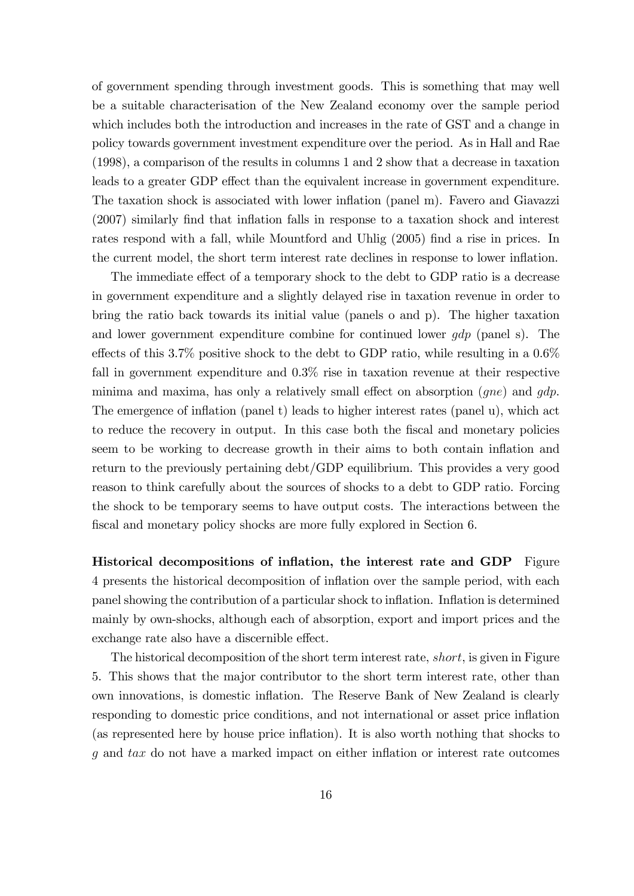of government spending through investment goods. This is something that may well be a suitable characterisation of the New Zealand economy over the sample period which includes both the introduction and increases in the rate of GST and a change in policy towards government investment expenditure over the period. As in Hall and Rae (1998), a comparison of the results in columns 1 and 2 show that a decrease in taxation leads to a greater GDP effect than the equivalent increase in government expenditure. The taxation shock is associated with lower inflation (panel m). Favero and Giavazzi  $(2007)$  similarly find that inflation falls in response to a taxation shock and interest rates respond with a fall, while Mountford and Uhlig (2005) find a rise in prices. In the current model, the short term interest rate declines in response to lower ináation.

The immediate effect of a temporary shock to the debt to GDP ratio is a decrease in government expenditure and a slightly delayed rise in taxation revenue in order to bring the ratio back towards its initial value (panels o and p). The higher taxation and lower government expenditure combine for continued lower  $qdp$  (panel s). The effects of this 3.7% positive shock to the debt to GDP ratio, while resulting in a  $0.6\%$ fall in government expenditure and 0.3% rise in taxation revenue at their respective minima and maxima, has only a relatively small effect on absorption  $(qne)$  and  $qdp$ . The emergence of inflation (panel t) leads to higher interest rates (panel u), which act to reduce the recovery in output. In this case both the fiscal and monetary policies seem to be working to decrease growth in their aims to both contain inflation and return to the previously pertaining debt/GDP equilibrium. This provides a very good reason to think carefully about the sources of shocks to a debt to GDP ratio. Forcing the shock to be temporary seems to have output costs. The interactions between the fiscal and monetary policy shocks are more fully explored in Section 6.

Historical decompositions of inflation, the interest rate and GDP Figure 4 presents the historical decomposition of ináation over the sample period, with each panel showing the contribution of a particular shock to inflation. Inflation is determined mainly by own-shocks, although each of absorption, export and import prices and the exchange rate also have a discernible effect.

The historical decomposition of the short term interest rate, short, is given in Figure 5. This shows that the major contributor to the short term interest rate, other than own innovations, is domestic inflation. The Reserve Bank of New Zealand is clearly responding to domestic price conditions, and not international or asset price inflation (as represented here by house price ináation). It is also worth nothing that shocks to  $g$  and  $tax$  do not have a marked impact on either inflation or interest rate outcomes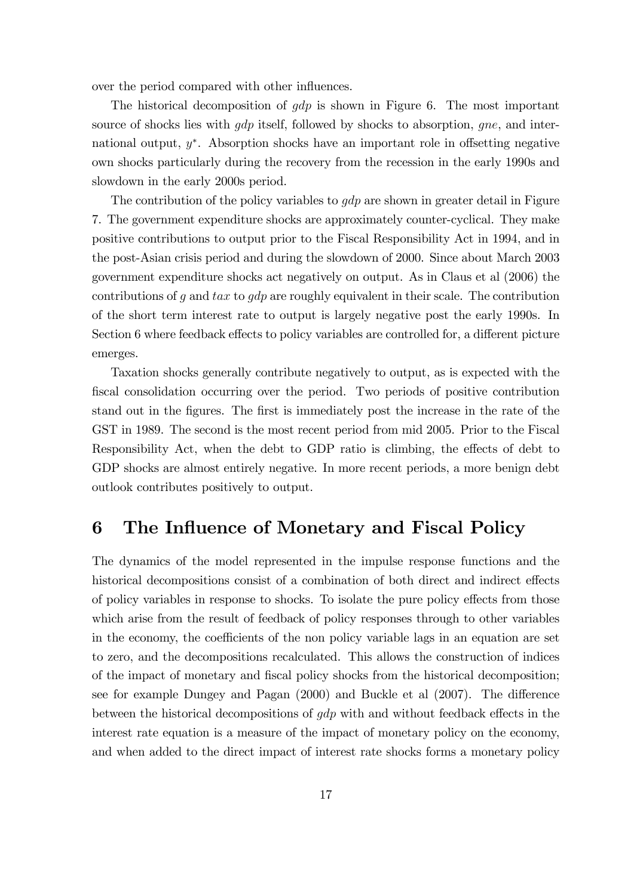over the period compared with other influences.

The historical decomposition of  $qdp$  is shown in Figure 6. The most important source of shocks lies with  $qdp$  itself, followed by shocks to absorption,  $qne$ , and international output,  $y^*$ . Absorption shocks have an important role in offsetting negative own shocks particularly during the recovery from the recession in the early 1990s and slowdown in the early 2000s period.

The contribution of the policy variables to  $gdp$  are shown in greater detail in Figure 7. The government expenditure shocks are approximately counter-cyclical. They make positive contributions to output prior to the Fiscal Responsibility Act in 1994, and in the post-Asian crisis period and during the slowdown of 2000. Since about March 2003 government expenditure shocks act negatively on output. As in Claus et al (2006) the contributions of g and  $tax$  to  $gdp$  are roughly equivalent in their scale. The contribution of the short term interest rate to output is largely negative post the early 1990s. In Section 6 where feedback effects to policy variables are controlled for, a different picture emerges.

Taxation shocks generally contribute negatively to output, as is expected with the Öscal consolidation occurring over the period. Two periods of positive contribution stand out in the figures. The first is immediately post the increase in the rate of the GST in 1989. The second is the most recent period from mid 2005. Prior to the Fiscal Responsibility Act, when the debt to GDP ratio is climbing, the effects of debt to GDP shocks are almost entirely negative. In more recent periods, a more benign debt outlook contributes positively to output.

#### 6 The Influence of Monetary and Fiscal Policy

The dynamics of the model represented in the impulse response functions and the historical decompositions consist of a combination of both direct and indirect effects of policy variables in response to shocks. To isolate the pure policy effects from those which arise from the result of feedback of policy responses through to other variables in the economy, the coefficients of the non policy variable lags in an equation are set to zero, and the decompositions recalculated. This allows the construction of indices of the impact of monetary and Öscal policy shocks from the historical decomposition; see for example Dungey and Pagan  $(2000)$  and Buckle et al  $(2007)$ . The difference between the historical decompositions of  $gdp$  with and without feedback effects in the interest rate equation is a measure of the impact of monetary policy on the economy, and when added to the direct impact of interest rate shocks forms a monetary policy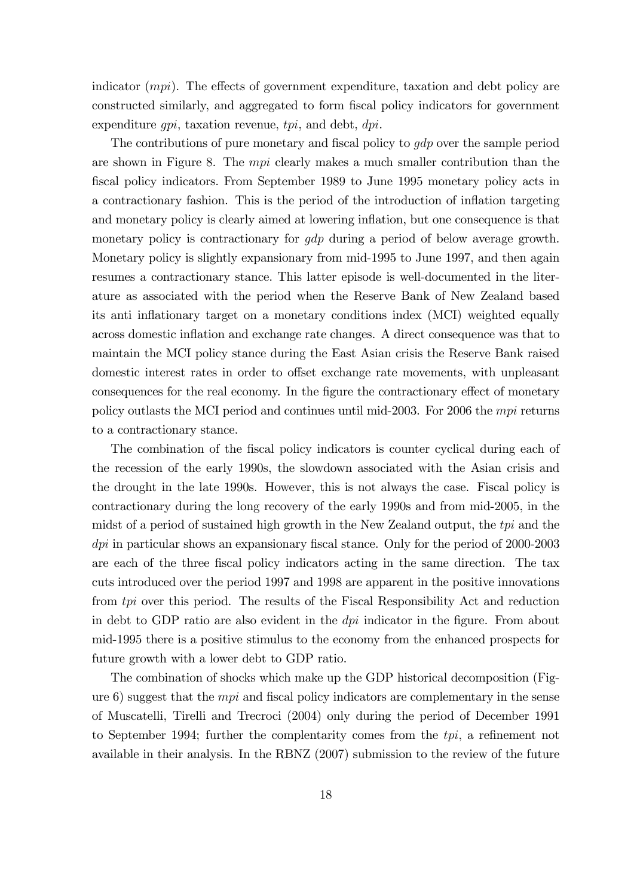indicator  $(mpi)$ . The effects of government expenditure, taxation and debt policy are constructed similarly, and aggregated to form Öscal policy indicators for government expenditure  $qpi$ , taxation revenue,  $tpi$ , and debt,  $dpi$ .

The contributions of pure monetary and fiscal policy to  $gdp$  over the sample period are shown in Figure 8. The mpi clearly makes a much smaller contribution than the fiscal policy indicators. From September 1989 to June 1995 monetary policy acts in a contractionary fashion. This is the period of the introduction of inflation targeting and monetary policy is clearly aimed at lowering inflation, but one consequence is that monetary policy is contractionary for *gdp* during a period of below average growth. Monetary policy is slightly expansionary from mid-1995 to June 1997, and then again resumes a contractionary stance. This latter episode is well-documented in the literature as associated with the period when the Reserve Bank of New Zealand based its anti-inflationary target on a monetary conditions index (MCI) weighted equally across domestic inflation and exchange rate changes. A direct consequence was that to maintain the MCI policy stance during the East Asian crisis the Reserve Bank raised domestic interest rates in order to offset exchange rate movements, with unpleasant consequences for the real economy. In the figure the contractionary effect of monetary policy outlasts the MCI period and continues until mid-2003. For 2006 the mpi returns to a contractionary stance.

The combination of the fiscal policy indicators is counter cyclical during each of the recession of the early 1990s, the slowdown associated with the Asian crisis and the drought in the late 1990s. However, this is not always the case. Fiscal policy is contractionary during the long recovery of the early 1990s and from mid-2005, in the midst of a period of sustained high growth in the New Zealand output, the tpi and the  $dpi$  in particular shows an expansionary fiscal stance. Only for the period of 2000-2003 are each of the three fiscal policy indicators acting in the same direction. The tax cuts introduced over the period 1997 and 1998 are apparent in the positive innovations from tpi over this period. The results of the Fiscal Responsibility Act and reduction in debt to GDP ratio are also evident in the  $dpi$  indicator in the figure. From about mid-1995 there is a positive stimulus to the economy from the enhanced prospects for future growth with a lower debt to GDP ratio.

The combination of shocks which make up the GDP historical decomposition (Figure 6) suggest that the *mpi* and fiscal policy indicators are complementary in the sense of Muscatelli, Tirelli and Trecroci (2004) only during the period of December 1991 to September 1994; further the complentarity comes from the  $tpi$ , a refinement not available in their analysis. In the RBNZ (2007) submission to the review of the future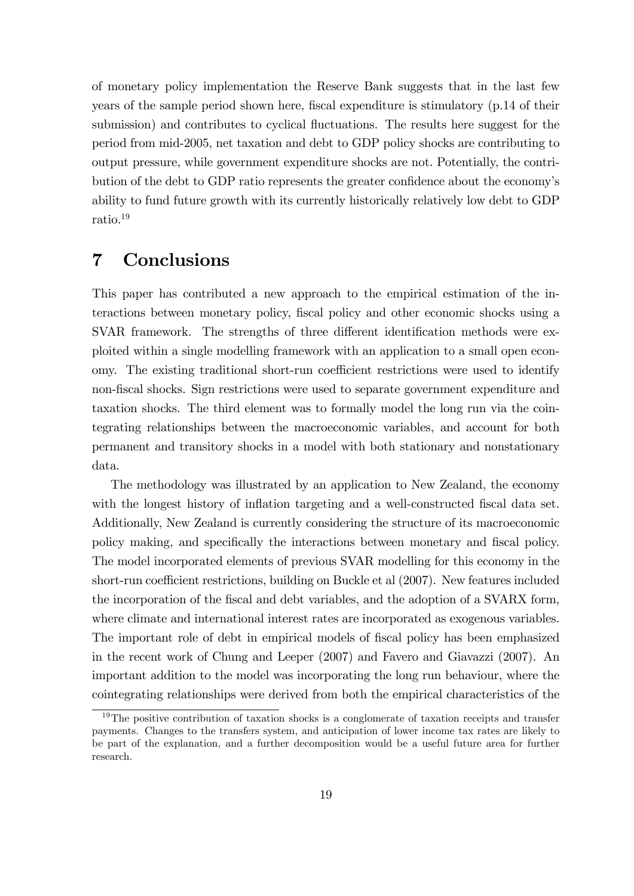of monetary policy implementation the Reserve Bank suggests that in the last few years of the sample period shown here, fiscal expenditure is stimulatory (p.14 of their submission) and contributes to cyclical fluctuations. The results here suggest for the period from mid-2005, net taxation and debt to GDP policy shocks are contributing to output pressure, while government expenditure shocks are not. Potentially, the contribution of the debt to GDP ratio represents the greater confidence about the economy's ability to fund future growth with its currently historically relatively low debt to GDP ratio.<sup>19</sup>

### 7 Conclusions

This paper has contributed a new approach to the empirical estimation of the interactions between monetary policy, Öscal policy and other economic shocks using a SVAR framework. The strengths of three different identification methods were exploited within a single modelling framework with an application to a small open economy. The existing traditional short-run coefficient restrictions were used to identify non-fiscal shocks. Sign restrictions were used to separate government expenditure and taxation shocks. The third element was to formally model the long run via the cointegrating relationships between the macroeconomic variables, and account for both permanent and transitory shocks in a model with both stationary and nonstationary data.

The methodology was illustrated by an application to New Zealand, the economy with the longest history of inflation targeting and a well-constructed fiscal data set. Additionally, New Zealand is currently considering the structure of its macroeconomic policy making, and specifically the interactions between monetary and fiscal policy. The model incorporated elements of previous SVAR modelling for this economy in the short-run coefficient restrictions, building on Buckle et al (2007). New features included the incorporation of the Öscal and debt variables, and the adoption of a SVARX form, where climate and international interest rates are incorporated as exogenous variables. The important role of debt in empirical models of fiscal policy has been emphasized in the recent work of Chung and Leeper (2007) and Favero and Giavazzi (2007). An important addition to the model was incorporating the long run behaviour, where the cointegrating relationships were derived from both the empirical characteristics of the

<sup>&</sup>lt;sup>19</sup>The positive contribution of taxation shocks is a conglomerate of taxation receipts and transfer payments. Changes to the transfers system, and anticipation of lower income tax rates are likely to be part of the explanation, and a further decomposition would be a useful future area for further research.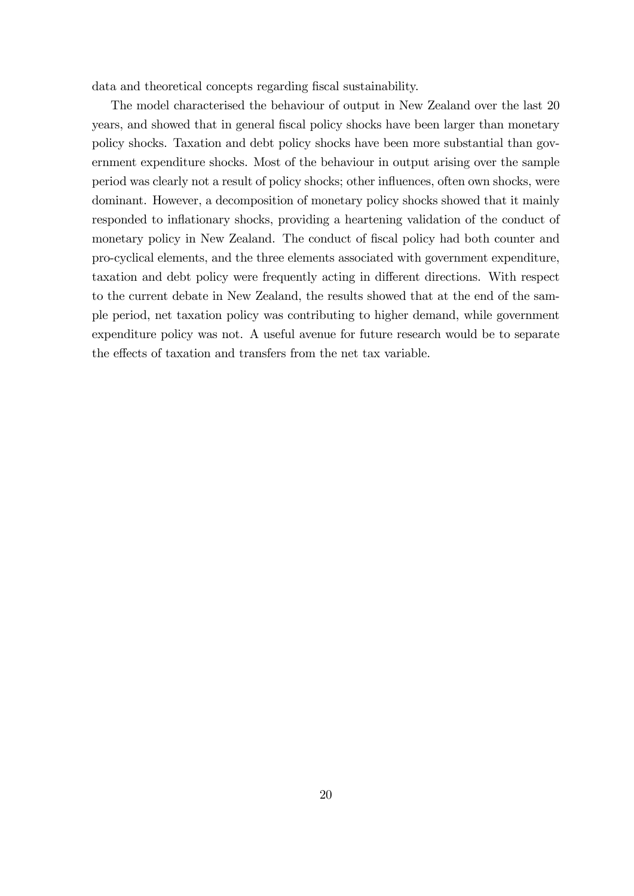data and theoretical concepts regarding fiscal sustainability.

The model characterised the behaviour of output in New Zealand over the last 20 years, and showed that in general Öscal policy shocks have been larger than monetary policy shocks. Taxation and debt policy shocks have been more substantial than government expenditure shocks. Most of the behaviour in output arising over the sample period was clearly not a result of policy shocks; other ináuences, often own shocks, were dominant. However, a decomposition of monetary policy shocks showed that it mainly responded to inflationary shocks, providing a heartening validation of the conduct of monetary policy in New Zealand. The conduct of fiscal policy had both counter and pro-cyclical elements, and the three elements associated with government expenditure, taxation and debt policy were frequently acting in different directions. With respect to the current debate in New Zealand, the results showed that at the end of the sample period, net taxation policy was contributing to higher demand, while government expenditure policy was not. A useful avenue for future research would be to separate the effects of taxation and transfers from the net tax variable.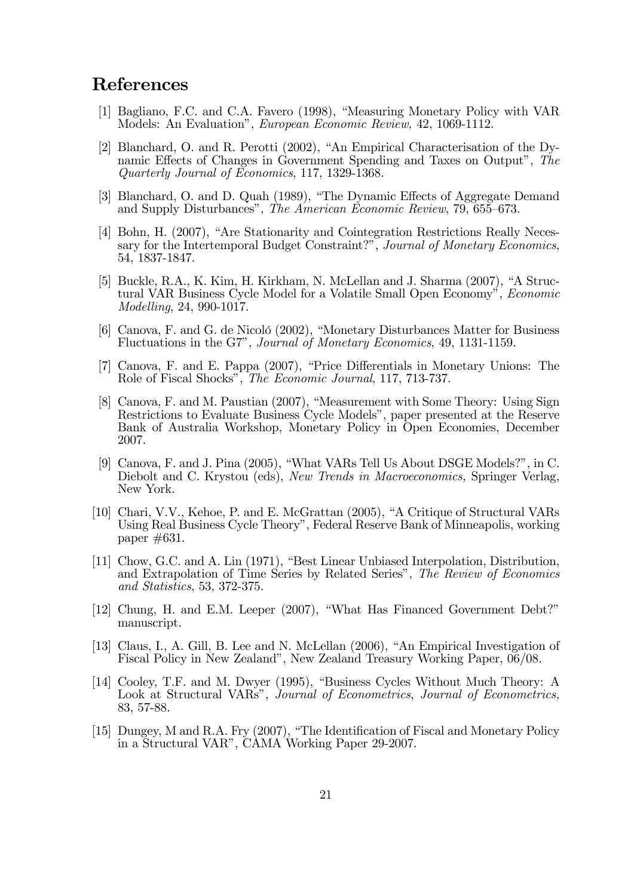#### References

- [1] Bagliano, F.C. and C.A. Favero (1998), "Measuring Monetary Policy with VAR Models: An Evaluation", European Economic Review, 42, 1069-1112.
- [2] Blanchard, O. and R. Perotti  $(2002)$ , "An Empirical Characterisation of the Dynamic Effects of Changes in Government Spending and Taxes on Output", The Quarterly Journal of Economics, 117, 1329-1368.
- [3] Blanchard, O. and D. Quah (1989), "The Dynamic Effects of Aggregate Demand and Supply Disturbances", The American Economic Review, 79, 655–673.
- [4] Bohn, H. (2007), "Are Stationarity and Cointegration Restrictions Really Necessary for the Intertemporal Budget Constraint?", Journal of Monetary Economics, 54, 1837-1847.
- [5] Buckle, R.A., K. Kim, H. Kirkham, N. McLellan and J. Sharma  $(2007)$ , "A Structural VAR Business Cycle Model for a Volatile Small Open Economy", Economic Modelling, 24, 990-1017.
- [6] Canova, F. and G. de Nicoló (2002), "Monetary Disturbances Matter for Business Fluctuations in the G7î, Journal of Monetary Economics, 49, 1131-1159.
- [7] Canova, F. and E. Pappa (2007), "Price Differentials in Monetary Unions: The Role of Fiscal Shocks", The Economic Journal, 117, 713-737.
- [8] Canova, F. and M. Paustian (2007), "Measurement with Some Theory: Using Sign Restrictions to Evaluate Business Cycle Modelsî, paper presented at the Reserve Bank of Australia Workshop, Monetary Policy in Open Economies, December 2007.
- [9] Canova, F. and J. Pina  $(2005)$ , "What VARs Tell Us About DSGE Models?", in C. Diebolt and C. Krystou (eds), New Trends in Macroeconomics, Springer Verlag, New York.
- [10] Chari, V.V., Kehoe, P. and E. McGrattan (2005), "A Critique of Structural VARs Using Real Business Cycle Theoryî, Federal Reserve Bank of Minneapolis, working paper #631.
- $[11]$  Chow, G.C. and A. Lin  $(1971)$ , "Best Linear Unbiased Interpolation, Distribution, and Extrapolation of Time Series by Related Series", The Review of Economics and Statistics, 53, 372-375.
- [12] Chung, H. and E.M. Leeper (2007), "What Has Financed Government Debt?" manuscript.
- [13] Claus, I., A. Gill, B. Lee and N. McLellan  $(2006)$ , "An Empirical Investigation of Fiscal Policy in New Zealandî, New Zealand Treasury Working Paper, 06/08.
- [14] Cooley, T.F. and M. Dwyer (1995), "Business Cycles Without Much Theory: A Look at Structural VARs", Journal of Econometrics, Journal of Econometrics, 83, 57-88.
- [15] Dungey, M and R.A. Fry  $(2007)$ , "The Identification of Fiscal and Monetary Policy in a Structural VAR", CAMA Working Paper 29-2007.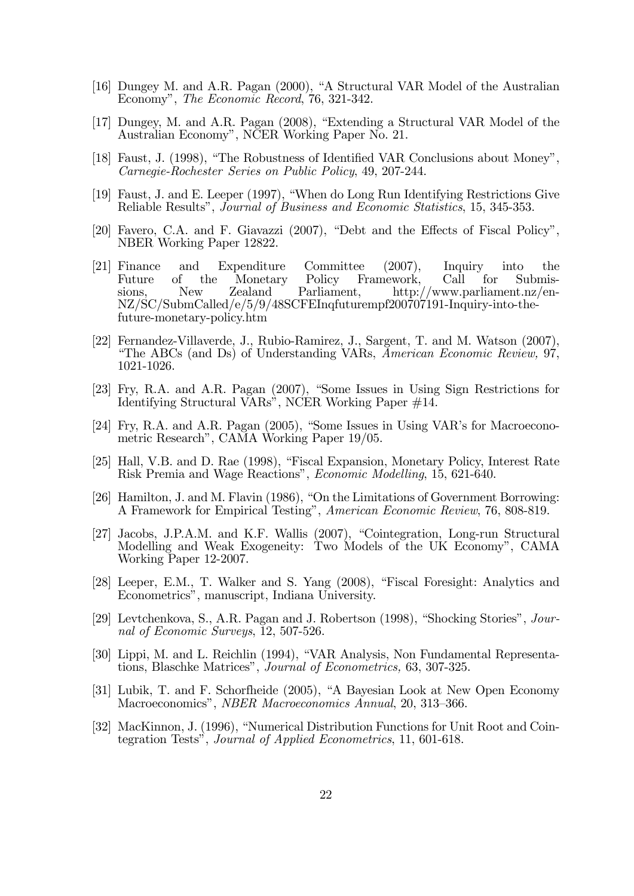- [16] Dungey M. and A.R. Pagan  $(2000)$ , "A Structural VAR Model of the Australian Economy", The Economic Record, 76, 321-342.
- [17] Dungey, M. and A.R. Pagan  $(2008)$ , "Extending a Structural VAR Model of the Australian Economy", NCER Working Paper No. 21.
- [18] Faust, J. (1998), "The Robustness of Identified VAR Conclusions about Money", Carnegie-Rochester Series on Public Policy, 49, 207-244.
- [19] Faust, J. and E. Leeper (1997), "When do Long Run Identifying Restrictions Give Reliable Results", Journal of Business and Economic Statistics, 15, 345-353.
- [20] Favero, C.A. and F. Giavazzi  $(2007)$ , "Debt and the Effects of Fiscal Policy", NBER Working Paper 12822.
- [21] Finance and Expenditure Committee (2007), Inquiry into the Future of the Monetary Policy Framework, Call for Submissions, New Zealand Parliament, http://www.parliament.nz/en-NZ/SC/SubmCalled/e/5/9/48SCFEInqfuturempf200707191-Inquiry-into-thefuture-monetary-policy.htm
- [22] Fernandez-Villaverde, J., Rubio-Ramirez, J., Sargent, T. and M. Watson (2007), ìThe ABCs (and Ds) of Understanding VARs, American Economic Review, 97, 1021-1026.
- [23] Fry, R.A. and A.R. Pagan (2007), "Some Issues in Using Sign Restrictions for Identifying Structural VARs<sup>"</sup>, NCER Working Paper #14.
- [24] Fry, R.A. and A.R. Pagan (2005), "Some Issues in Using VAR's for Macroeconometric Research", CAMA Working Paper 19/05.
- [25] Hall, V.B. and D. Rae (1998), "Fiscal Expansion, Monetary Policy, Interest Rate Risk Premia and Wage Reactions", *Economic Modelling*, 15, 621-640.
- [26] Hamilton, J. and M. Flavin  $(1986)$ , "On the Limitations of Government Borrowing: A Framework for Empirical Testing", American Economic Review, 76, 808-819.
- [27] Jacobs, J.P.A.M. and K.F. Wallis (2007), "Cointegration, Long-run Structural Modelling and Weak Exogeneity: Two Models of the UK Economy", CAMA Working Paper 12-2007.
- [28] Leeper, E.M., T. Walker and S. Yang  $(2008)$ , "Fiscal Foresight: Analytics and Econometricsî, manuscript, Indiana University.
- [29] Levtchenkova, S., A.R. Pagan and J. Robertson  $(1998)$ , "Shocking Stories", *Jour*nal of Economic Surveys, 12, 507-526.
- [30] Lippi, M. and L. Reichlin (1994), "VAR Analysis, Non Fundamental Representations, Blaschke Matrices", *Journal of Econometrics*, 63, 307-325.
- [31] Lubik, T. and F. Schorfheide (2005), "A Bayesian Look at New Open Economy Macroeconomics", *NBER Macroeconomics Annual*, 20, 313–366.
- [32] MacKinnon, J. (1996), "Numerical Distribution Functions for Unit Root and Cointegration Tests", Journal of Applied Econometrics, 11, 601-618.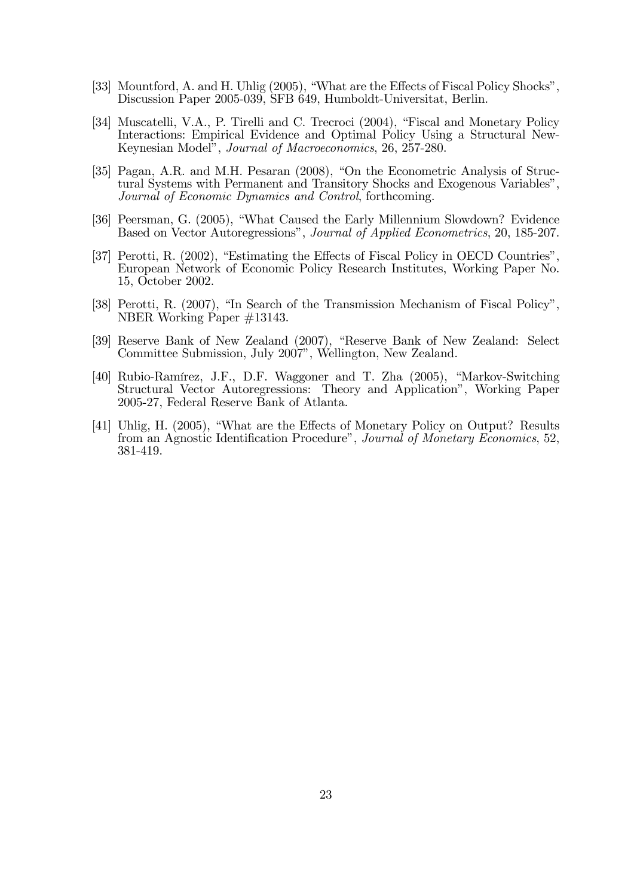- [33] Mountford, A. and H. Uhlig  $(2005)$ , "What are the Effects of Fiscal Policy Shocks", Discussion Paper 2005-039, SFB 649, Humboldt-Universitat, Berlin.
- [34] Muscatelli, V.A., P. Tirelli and C. Trecroci (2004), "Fiscal and Monetary Policy Interactions: Empirical Evidence and Optimal Policy Using a Structural New-Keynesian Modelî, Journal of Macroeconomics, 26, 257-280.
- [35] Pagan, A.R. and M.H. Pesaran (2008), "On the Econometric Analysis of Structural Systems with Permanent and Transitory Shocks and Exogenous Variablesî, Journal of Economic Dynamics and Control, forthcoming.
- [36] Peersman, G. (2005), "What Caused the Early Millennium Slowdown? Evidence Based on Vector Autoregressions", Journal of Applied Econometrics, 20, 185-207.
- [37] Perotti, R.  $(2002)$ , "Estimating the Effects of Fiscal Policy in OECD Countries" European Network of Economic Policy Research Institutes, Working Paper No. 15, October 2002.
- [38] Perotti, R. (2007), "In Search of the Transmission Mechanism of Fiscal Policy", NBER Working Paper #13143.
- [39] Reserve Bank of New Zealand (2007), "Reserve Bank of New Zealand: Select Committee Submission, July 2007", Wellington, New Zealand.
- [40] Rubio-Ramírez, J.F., D.F. Waggoner and T. Zha (2005), "Markov-Switching Structural Vector Autoregressions: Theory and Applicationî, Working Paper 2005-27, Federal Reserve Bank of Atlanta.
- [41] Uhlig, H. (2005), "What are the Effects of Monetary Policy on Output? Results from an Agnostic Identification Procedure", Journal of Monetary Economics, 52, 381-419.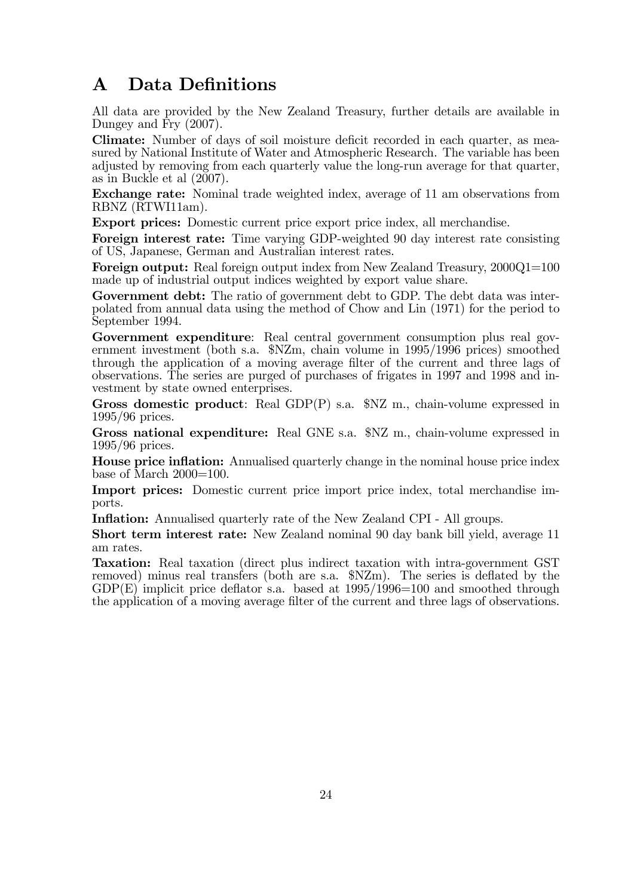## A Data Definitions

All data are provided by the New Zealand Treasury, further details are available in Dungey and Fry (2007).

Climate: Number of days of soil moisture deficit recorded in each quarter, as measured by National Institute of Water and Atmospheric Research. The variable has been adjusted by removing from each quarterly value the long-run average for that quarter, as in Buckle et al (2007).

Exchange rate: Nominal trade weighted index, average of 11 am observations from RBNZ (RTWI11am).

Export prices: Domestic current price export price index, all merchandise.

Foreign interest rate: Time varying GDP-weighted 90 day interest rate consisting of US, Japanese, German and Australian interest rates.

Foreign output: Real foreign output index from New Zealand Treasury, 2000Q1=100 made up of industrial output indices weighted by export value share.

Government debt: The ratio of government debt to GDP. The debt data was interpolated from annual data using the method of Chow and Lin (1971) for the period to September 1994.

Government expenditure: Real central government consumption plus real government investment (both s.a. \$NZm, chain volume in 1995/1996 prices) smoothed through the application of a moving average filter of the current and three lags of observations. The series are purged of purchases of frigates in 1997 and 1998 and investment by state owned enterprises.

Gross domestic product: Real GDP(P) s.a.  $NZ$  m., chain-volume expressed in 1995/96 prices.

Gross national expenditure: Real GNE s.a. \$NZ m., chain-volume expressed in 1995/96 prices.

**House price inflation:** Annualised quarterly change in the nominal house price index base of March  $2000=100$ .

Import prices: Domestic current price import price index, total merchandise imports.

**Inflation:** Annualised quarterly rate of the New Zealand CPI - All groups.

Short term interest rate: New Zealand nominal 90 day bank bill yield, average 11 am rates.

Taxation: Real taxation (direct plus indirect taxation with intra-government GST removed) minus real transfers (both are s.a.  $NZm$ ). The series is deflated by the  $GDP(E)$  implicit price deflator s.a. based at  $1995/1996=100$  and smoothed through the application of a moving average filter of the current and three lags of observations.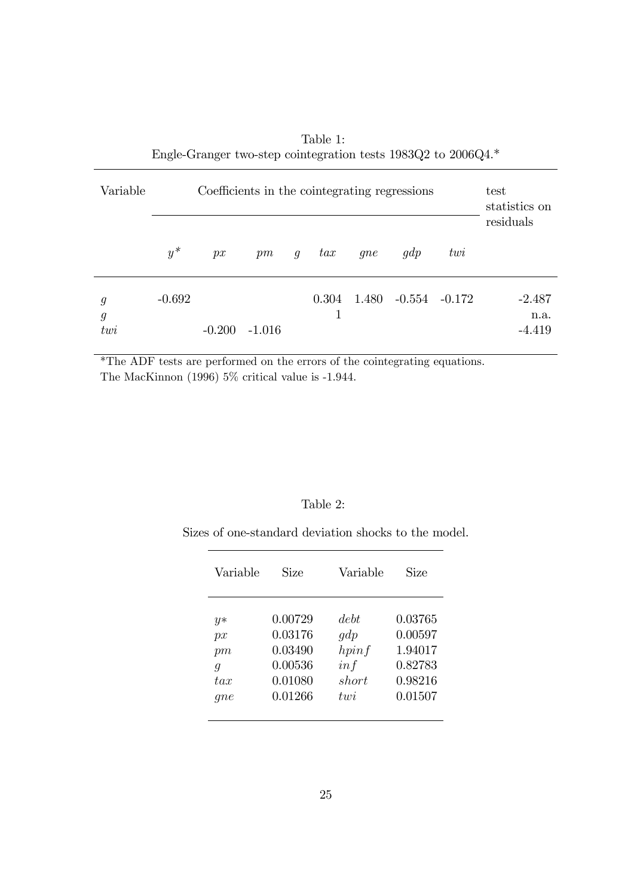| Variable                                | Coefficients in the cointegrating regressions |          |          |   |       |       |                   |     | test<br>statistics on<br>residuals |
|-----------------------------------------|-----------------------------------------------|----------|----------|---|-------|-------|-------------------|-----|------------------------------------|
|                                         | $y^*$                                         | px       | pm       | q | tax   | qne   | qdp               | twi |                                    |
| $\mathfrak{g}$<br>$\mathfrak{g}$<br>twi | $-0.692$                                      | $-0.200$ | $-1.016$ |   | 0.304 | 1.480 | $-0.554$ $-0.172$ |     | $-2.487$<br>n.a.<br>-4.419         |

Table 1: Engle-Granger two-step cointegration tests 1983Q2 to 2006Q4.\*

\*The ADF tests are performed on the errors of the cointegrating equations. The MacKinnon (1996) 5% critical value is -1.944.

#### Table 2:

Sizes of one-standard deviation shocks to the model.

| Variable         | Size    | Variable       | Size    |
|------------------|---------|----------------|---------|
| $y*$             | 0.00729 | debt.          | 0.03765 |
| px               | 0.03176 | gdp            | 0.00597 |
| pm               | 0.03490 | hpinf          | 1.94017 |
| $\boldsymbol{q}$ | 0.00536 | inf            | 0.82783 |
| tar              | 0.01080 | short          | 0.98216 |
| qne              | 0.01266 | $t$ <i>uni</i> | 0.01507 |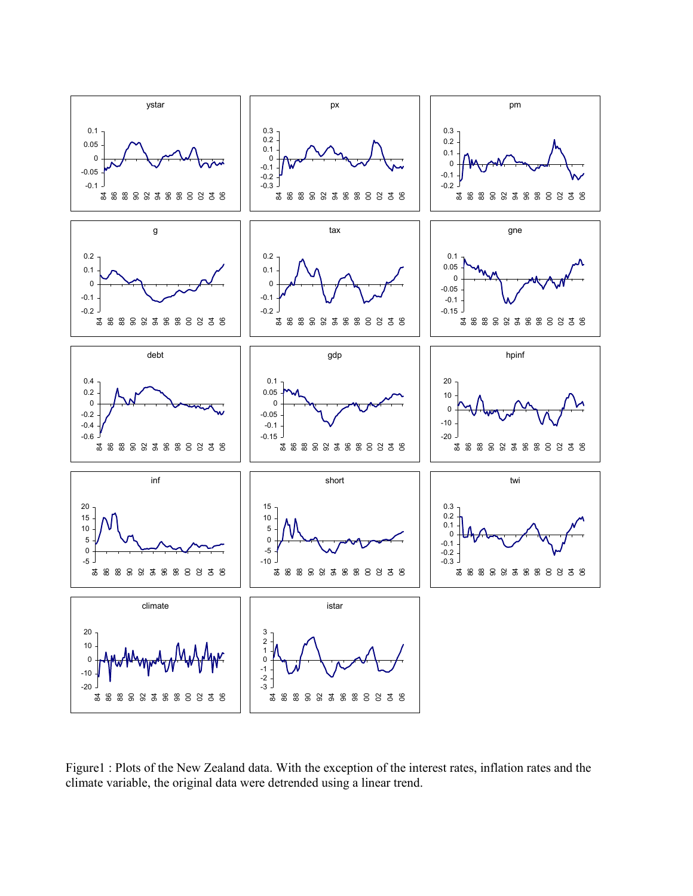

Figure1 : Plots of the New Zealand data. With the exception of the interest rates, inflation rates and the climate variable, the original data were detrended using a linear trend.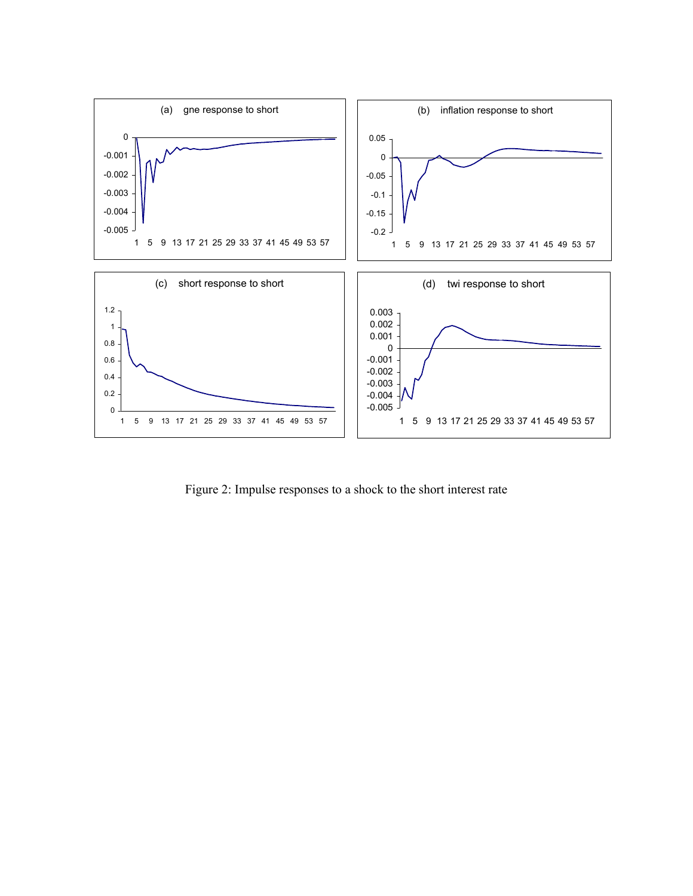

Figure 2: Impulse responses to a shock to the short interest rate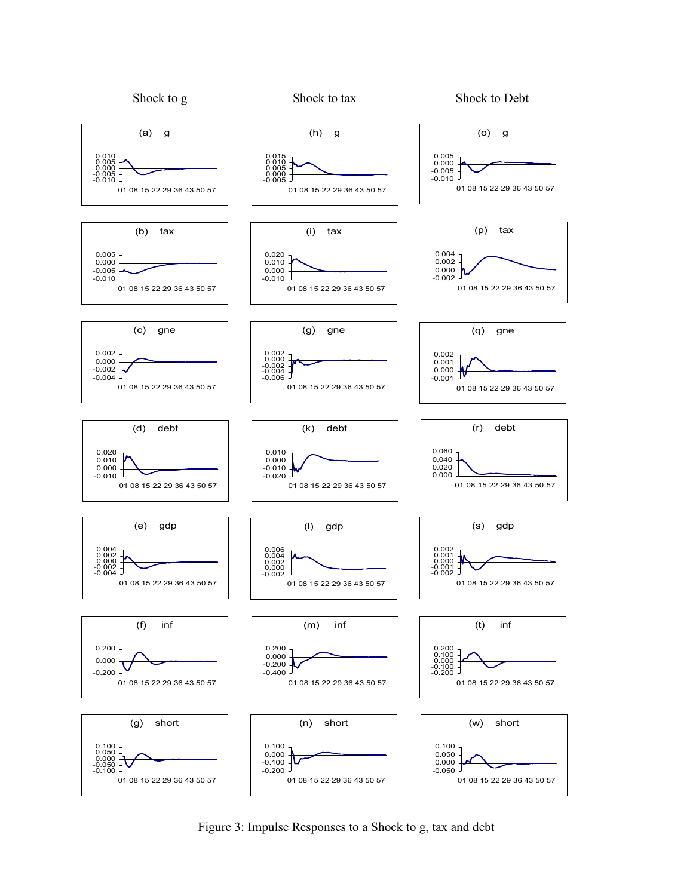

Figure 3: Impulse Responses to a Shock to g, tax and debt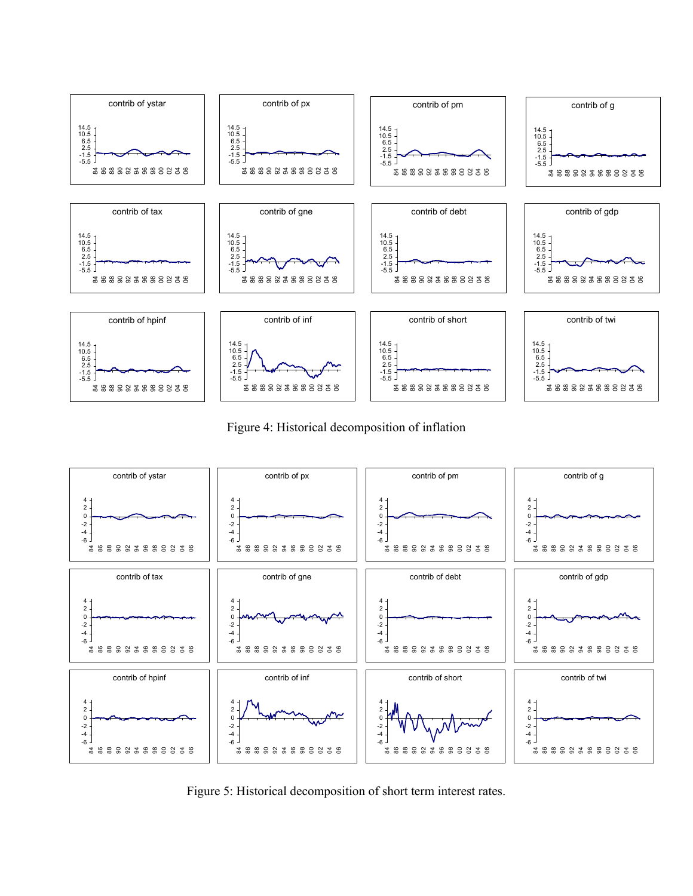

Figure 4: Historical decomposition of inflation



Figure 5: Historical decomposition of short term interest rates.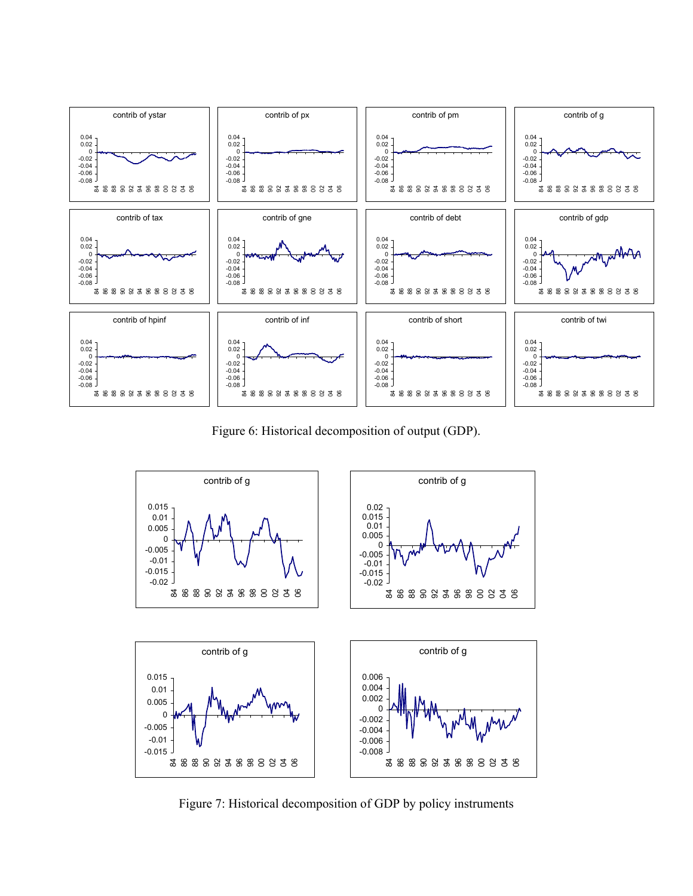

Figure 6: Historical decomposition of output (GDP).



Figure 7: Historical decomposition of GDP by policy instruments